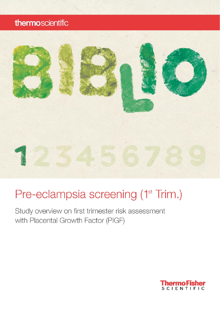## thermoscientific



# Pre-eclampsia screening (1<sup>st</sup> Trim.)

Study overview on first trimester risk assessment with Placental Growth Factor (PIGF)

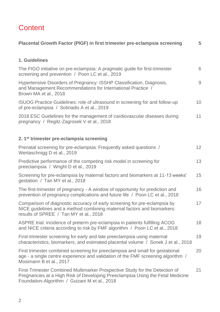## **Content**

| Placental Growth Factor (PIGF) in first trimester pre-eclampsia screening                                                                                                                                      | 5  |  |
|----------------------------------------------------------------------------------------------------------------------------------------------------------------------------------------------------------------|----|--|
| 1. Guidelines                                                                                                                                                                                                  |    |  |
| The FIGO initiative on pre-eclampsia: A pragmatic guide for first-trimester<br>screening and prevention / Poon LC et al., 2019                                                                                 |    |  |
| Hypertensive Disorders of Pregnancy: ISSHP Classification, Diagnosis,<br>and Management Recommendations for International Practice /<br>Brown MA et al., 2018                                                  |    |  |
| ISUOG Practice Guidelines: role of ultrasound in screening for and follow-up<br>of pre-eclampsia / Sotiriadis A et al., 2019                                                                                   | 10 |  |
| 2018 ESC Guidelines for the management of cardiovascular diseases during<br>pregnancy / Regitz-Zagrosek V et al., 2018                                                                                         | 11 |  |
| 2. 1 <sup>st</sup> trimester pre-eclampsia screening                                                                                                                                                           |    |  |
| Prenatal screening for pre-eclampsia: Frequently asked questions /<br>Wertaschnigg D et al., 2019                                                                                                              | 12 |  |
| Predictive performance of the competing risk model in screening for<br>preeclampsia / Wright D et al., 2019                                                                                                    | 13 |  |
| Screening for pre-eclampsia by maternal factors and biomarkers at 11-13 weeks'<br>gestation / Tan MY et al., 2018                                                                                              | 15 |  |
| The first-trimester of pregnancy - A window of opportunity for prediction and<br>prevention of pregnancy complications and future life / Poon LC et al., 2018                                                  | 16 |  |
| Comparison of diagnostic accuracy of early screening for pre-eclampsia by<br>NICE guidelines and a method combining maternal factors and biomarkers:<br>results of SPREE / Tan MY et al., 2018                 | 17 |  |
| ASPRE trial: incidence of preterm pre-eclampsia in patients fulfilling ACOG<br>and NICE criteria according to risk by FMF algorithm / Poon LC et al., 2018                                                     | 18 |  |
| First-trimester screening for early and late preeclampsia using maternal<br>characteristics, biomarkers, and estimated placental volume / Sonek J et al., 2018                                                 | 19 |  |
| First trimester combined screening for preeclampsia and small for gestational<br>age - a single centre experience and validation of the FMF screening algorithm /<br>Mosimann B et al., 2017                   | 20 |  |
| First-Trimester Combined Multimarker Prospective Study for the Detection of<br>Pregnancies at a High Risk of Developing Preeclampsia Using the Fetal Medicine<br>Foundation-Algorithm / Guizani M et al., 2018 | 21 |  |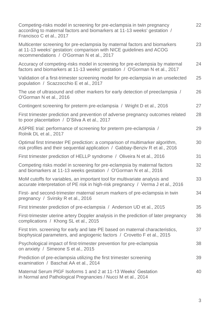| Competing-risks model in screening for pre-eclampsia in twin pregnancy<br>according to maternal factors and biomarkers at 11-13 weeks' gestation /<br>Francisco C et al., 2017                 | 22 |  |
|------------------------------------------------------------------------------------------------------------------------------------------------------------------------------------------------|----|--|
| Multicenter screening for pre-eclampsia by maternal factors and biomarkers<br>at 11-13 weeks' gestation: comparison with NICE guidelines and ACOG<br>recommendations / O'Gorman N et al., 2017 | 23 |  |
| Accuracy of competing-risks model in screening for pre-eclampsia by maternal<br>factors and biomarkers at 11-13 weeks' gestation / O'Gorman N et al., 2017                                     |    |  |
| Validation of a first-trimester screening model for pre-eclampsia in an unselected<br>population / Scazzocchio E et al., 2017                                                                  | 25 |  |
| The use of ultrasound and other markers for early detection of preeclampsia /<br>O'Gorman N et al., 2016                                                                                       | 26 |  |
| Contingent screening for preterm pre-eclampsia / Wright D et al., 2016                                                                                                                         | 27 |  |
| First trimester prediction and prevention of adverse pregnancy outcomes related<br>to poor placentation / D'Silva A et al., 2017                                                               |    |  |
| ASPRE trial: performance of screening for preterm pre-eclampsia /<br>Rolnik DL et al., 2017                                                                                                    | 29 |  |
| Optimal first trimester PE prediction: a comparison of multimarker algorithm,<br>risk profiles and their sequential application / Gabbay-Benziv R et al., 2016                                 | 30 |  |
| First trimester prediction of HELLP syndrome / Oliveira N et al., 2016                                                                                                                         | 31 |  |
| Competing risks model in screening for pre-eclampsia by maternal factors<br>and biomarkers at 11-13 weeks gestation / O'Gorman N et al., 2016                                                  | 32 |  |
| MoM cutoffs for variables, an important tool for multivariate analysis and<br>accurate interpretation of PE risk in high-risk pregnancy / Verma J et al., 2016                                 | 33 |  |
| First- and second-trimester maternal serum markers of pre-eclampsia in twin<br>pregnancy / Svirsky R et al., 2016                                                                              | 34 |  |
| First trimester prediction of pre-eclampsia / Anderson UD et al., 2015                                                                                                                         | 35 |  |
| First-trimester uterine artery Doppler analysis in the prediction of later pregnancy<br>complications / Khong SL et al., 2015                                                                  |    |  |
| First trim. screening for early and late PE based on maternal characteristics,<br>biophysical parameters, and angiogenic factors / Crovetto F et al., 2015                                     | 37 |  |
| Psychological impact of first-trimester prevention for pre-eclampsia<br>on anxiety / Simeone S et al., 2015                                                                                    | 38 |  |
| Prediction of pre-eclampsia utilizing the first trimester screening<br>examination / Baschat AA et al., 2014                                                                                   |    |  |
| Maternal Serum PIGF Isoforms 1 and 2 at 11-13 Weeks' Gestation<br>in Normal and Pathological Pregnancies / Nucci M et al., 2014                                                                | 40 |  |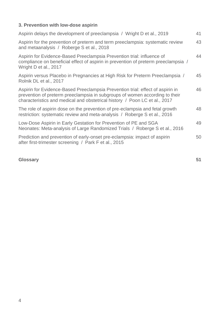### **3. Prevention with low-dose aspirin**

| Aspirin delays the development of preeclampsia / Wright D et al., 2019                                                                                                                                                                      | 41 |
|---------------------------------------------------------------------------------------------------------------------------------------------------------------------------------------------------------------------------------------------|----|
| Aspirin for the prevention of preterm and term preeclampsia: systematic review<br>and metaanalysis / Roberge S et al., 2018                                                                                                                 | 43 |
| Aspirin for Evidence-Based Preeclampsia Prevention trial: influence of<br>compliance on beneficial effect of aspirin in prevention of preterm preeclampsia /<br>Wright D et al., 2017                                                       | 44 |
| Aspirin versus Placebo in Pregnancies at High Risk for Preterm Preeclampsia /<br>Rolnik DL et al., 2017                                                                                                                                     | 45 |
| Aspirin for Evidence-Based Preeclampsia Prevention trial: effect of aspirin in<br>prevention of preterm preeclampsia in subgroups of women according to their<br>characteristics and medical and obstetrical history / Poon LC et al., 2017 | 46 |
| The role of aspirin dose on the prevention of pre-eclampsia and fetal growth<br>restriction: systematic review and meta-analysis / Roberge S et al., 2016                                                                                   | 48 |
| Low-Dose Aspirin in Early Gestation for Prevention of PE and SGA<br>Neonates: Meta-analysis of Large Randomized Trials / Roberge S et al., 2016                                                                                             | 49 |
| Prediction and prevention of early-onset pre-eclampsia: impact of aspirin<br>after first-trimester screening / Park F et al., 2015                                                                                                          | 50 |

### **Glossary 51**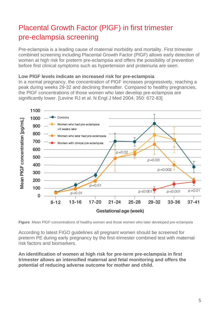## Placental Growth Factor (PlGF) in first trimester pre-eclampsia screening

Pre-eclampsia is a leading cause of maternal morbidity and mortality. First trimester combined screening including Placental Growth Factor (PlGF) allows early detection of women at high risk for preterm pre-eclampsia and offers the possibility of prevention before first clinical symptoms such as hypertension and proteinuria are seen.

#### **Low PlGF levels indicate an increased risk for pre-eclampsia**

In a normal pregnancy, the concentration of PlGF increases progressively, reaching a peak during weeks 29-32 and declining thereafter. Compared to healthy pregnancies, the PlGF concentrations of those women who later develop pre-eclampsia are significantly lower. [Levine RJ et al. N Engl J Med 2004; 350: 672-83]



**Figure** Mean PlGF concentrations of healthy women and those women who later developed pre-eclampsia

According to latest FIGO guidelines all pregnant women should be screened for preterm PE during early pregnancy by the first-trimester combined test with maternal risk factors and biomarkers.

**An identification of women at high risk for pre-term pre-eclampsia in first trimester allows an intensified maternal and fetal monitoring and offers the potential of reducing adverse outcome for mother and child.**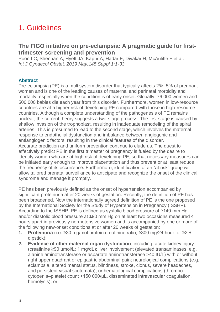## 1. Guidelines

### **The FIGO initiative on pre-eclampsia: A pragmatic guide for firsttrimester screening and prevention**

Poon LC, Shennan A, Hyett JA, Kapur A, Hadar E, Divakar H, McAuliffe F et al. *Int J Gynaecol Obstet. 2019 May;145 Suppl 1:1-33*

#### **Abstract**

Pre‐eclampsia (PE) is a multisystem disorder that typically affects 2%–5% of pregnant women and is one of the leading causes of maternal and perinatal morbidity and mortality, especially when the condition is of early onset. Globally, 76 000 women and 500 000 babies die each year from this disorder. Furthermore, women in low‐resource countries are at a higher risk of developing PE compared with those in high‐resource countries. Although a complete understanding of the pathogenesis of PE remains unclear, the current theory suggests a two‐stage process. The first stage is caused by shallow invasion of the trophoblast, resulting in inadequate remodeling of the spiral arteries. This is presumed to lead to the second stage, which involves the maternal response to endothelial dysfunction and imbalance between angiogenic and antiangiogenic factors, resulting in the clinical features of the disorder. Accurate prediction and uniform prevention continue to elude us. The quest to effectively predict PE in the first trimester of pregnancy is fueled by the desire to identify women who are at high risk of developing PE, so that necessary measures can be initiated early enough to improve placentation and thus prevent or at least reduce the frequency of its occurrence. Furthermore, identification of an "at risk" group will allow tailored prenatal surveillance to anticipate and recognize the onset of the clinical syndrome and manage it promptly.

PE has been previously defined as the onset of hypertension accompanied by significant proteinuria after 20 weeks of gestation. Recently, the definition of PE has been broadened. Now the internationally agreed definition of PE is the one proposed by the International Society for the Study of Hypertension in Pregnancy (ISSHP). According to the ISSHP, PE is defined as systolic blood pressure at ≥140 mm Hg and/or diastolic blood pressure at ≥90 mm Hg on at least two occasions measured 4 hours apart in previously normotensive women and is accompanied by one or more of the following new-onset conditions at or after 20 weeks of gestation:

- **1. Proteinuria** (i.e. ≥30 mg/mol protein:creatinine ratio; ≥300 mg/24 hour; or ≥2 + dipstick);
- **2. Evidence of other maternal organ dysfunction**, including: acute kidney injury (creatinine ≥90 μmol/L; 1 mg/dL); liver involvement (elevated transaminases, e.g. alanine aminotransferase or aspartate aminotransferase >40 IU/L) with or without right upper quadrant or epigastric abdominal pain; neurological complications (e.g. eclampsia, altered mental status, blindness, stroke, clonus, severe headaches, and persistent visual scotomata); or hematological complications (thrombocytopenia–platelet count <150 000/μL, disseminated intravascular coagulation, hemolysis); or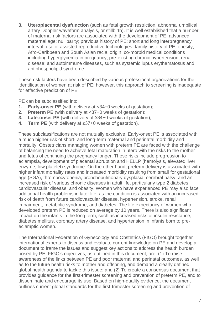**3. Uteroplacental dysfunction** (such as fetal growth restriction, abnormal umbilical artery Doppler waveform analysis, or stillbirth). It is well established that a number of maternal risk factors are associated with the development of PE: advanced maternal age; nulliparity; previous history of PE; short and long interpregnancy interval; use of assisted reproductive technologies; family history of PE; obesity; Afro-Caribbean and South Asian racial origin; co-morbid medical conditions including hyperglycemia in pregnancy; pre‐existing chronic hypertension; renal disease; and autoimmune diseases, such as systemic lupus erythematosus and antiphospholipid syndrome.

These risk factors have been described by various professional organizations for the identification of women at risk of PE; however, this approach to screening is inadequate for effective prediction of PE.

PE can be subclassified into:

- **1. Early**‐**onset PE** (with delivery at <34+0 weeks of gestation);
- **2. Preterm PE** (with delivery at <37+0 weeks of gestation);
- **3. Late**‐**onset PE** (with delivery at ≥34+0 weeks of gestation);
- **4. Term PE** (with delivery at ≥37+0 weeks of gestation).

These subclassifications are not mutually exclusive. Early‐onset PE is associated with a much higher risk of short‐ and long‐term maternal and perinatal morbidity and mortality. Obstetricians managing women with preterm PE are faced with the challenge of balancing the need to achieve fetal maturation in utero with the risks to the mother and fetus of continuing the pregnancy longer. These risks include progression to eclampsia, development of placental abruption and HELLP (hemolysis, elevated liver enzyme, low platelet) syndrome. On the other hand, preterm delivery is associated with higher infant mortality rates and increased morbidity resulting from small for gestational age (SGA), thrombocytopenia, bronchopulmonary dysplasia, cerebral palsy, and an increased risk of various chronic diseases in adult life, particularly type 2 diabetes, cardiovascular disease, and obesity. Women who have experienced PE may also face additional health problems in later life, as the condition is associated with an increased risk of death from future cardiovascular disease, hypertension, stroke, renal impairment, metabolic syndrome, and diabetes. The life expectancy of women who developed preterm PE is reduced on average by 10 years. There is also significant impact on the infants in the long term, such as increased risks of insulin resistance, diabetes mellitus, coronary artery disease, and hypertension in infants born to pre‐ eclamptic women.

The International Federation of Gynecology and Obstetrics (FIGO) brought together international experts to discuss and evaluate current knowledge on PE and develop a document to frame the issues and suggest key actions to address the health burden posed by PE. FIGO's objectives, as outlined in this document, are: (1) To raise awareness of the links between PE and poor maternal and perinatal outcomes, as well as to the future health risks to mother and offspring, and demand a clearly defined global health agenda to tackle this issue; and (2) To create a consensus document that provides guidance for the first-trimester screening and prevention of preterm PE, and to disseminate and encourage its use. Based on high‐quality evidence, the document outlines current global standards for the first‐trimester screening and prevention of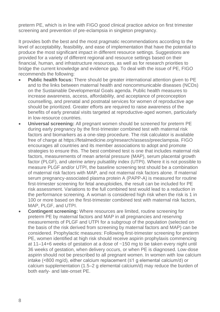preterm PE, which is in line with FIGO good clinical practice advice on first trimester screening and prevention of pre-eclampsia in singleton pregnancy.

It provides both the best and the most pragmatic recommendations according to the level of acceptability, feasibility, and ease of implementation that have the potential to produce the most significant impact in different resource settings. Suggestions are provided for a variety of different regional and resource settings based on their financial, human, and infrastructure resources, as well as for research priorities to bridge the current knowledge and evidence gap. To deal with the issue of PE, FIGO recommends the following:

- **Public health focus:** There should be greater international attention given to PE and to the links between maternal health and noncommunicable diseases (NCDs) on the Sustainable Developmental Goals agenda. Public health measures to increase awareness, access, affordability, and acceptance of preconception counselling, and prenatal and postnatal services for women of reproductive age should be prioritized. Greater efforts are required to raise awareness of the benefits of early prenatal visits targeted at reproductive-aged women, particularly in low‐resource countries.
- **Universal screening:** All pregnant women should be screened for preterm PE during early pregnancy by the first‐trimester combined test with maternal risk factors and biomarkers as a one‐step procedure. The risk calculator is available free of charge at https://fetalmedicine.org/research/assess/preeclampsia. FIGO encourages all countries and its member associations to adopt and promote strategies to ensure this. The best combined test is one that includes maternal risk factors, measurements of mean arterial pressure (MAP), serum placental growth factor (PLGF), and uterine artery pulsatility index (UTPI). Where it is not possible to measure PLGF and/or UTPI, the baseline screening test should be a combination of maternal risk factors with MAP, and not maternal risk factors alone. If maternal serum pregnancy-associated plasma protein A (PAPP-A) is measured for routine first-trimester screening for fetal aneuploidies, the result can be included for PE risk assessment. Variations to the full combined test would lead to a reduction in the performance screening. A woman is considered high risk when the risk is 1 in 100 or more based on the first-trimester combined test with maternal risk factors, MAP, PLGF, and UTPI.
- **Contingent screening:** Where resources are limited, routine screening for preterm PE by maternal factors and MAP in all pregnancies and reserving measurements of PLGF and UTPI for a subgroup of the population (selected on the basis of the risk derived from screening by maternal factors and MAP) can be considered. Prophylactic measures: Following first‐trimester screening for preterm PE, women identified at high risk should receive aspirin prophylaxis commencing at 11–14+6 weeks of gestation at a dose of ~150 mg to be taken every night until 36 weeks of gestation, when delivery occurs, or when PE is diagnosed. Low‐dose aspirin should not be prescribed to all pregnant women. In women with low calcium intake (<800 mg/d), either calcium replacement (≤1 g elemental calcium/d) or calcium supplementation (1.5–2 g elemental calcium/d) may reduce the burden of both early‐ and late‐onset PE.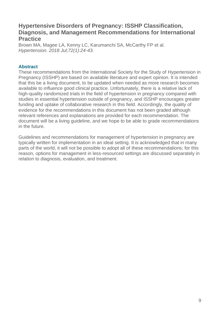### **Hypertensive Disorders of Pregnancy: ISSHP Classification, Diagnosis, and Management Recommendations for International Practice**

Brown MA, Magee LA, Kenny LC, Karumanchi SA, McCarthy FP et al. *Hypertension. 2018 Jul;72(1):24-43.*

#### **Abstract**

These recommendations from the International Society for the Study of Hypertension in Pregnancy (ISSHP) are based on available literature and expert opinion. It is intended that this be a living document, to be updated when needed as more research becomes available to influence good clinical practice. Unfortunately, there is a relative lack of high-quality randomized trials in the field of hypertension in pregnancy compared with studies in essential hypertension outside of pregnancy, and ISSHP encourages greater funding and uptake of collaborative research in this field. Accordingly, the quality of evidence for the recommendations in this document has not been graded although relevant references and explanations are provided for each recommendation. The document will be a living guideline, and we hope to be able to grade recommendations in the future.

Guidelines and recommendations for management of hypertension in pregnancy are typically written for implementation in an ideal setting. It is acknowledged that in many parts of the world, it will not be possible to adopt all of these recommendations; for this reason, options for management in less-resourced settings are discussed separately in relation to diagnosis, evaluation, and treatment.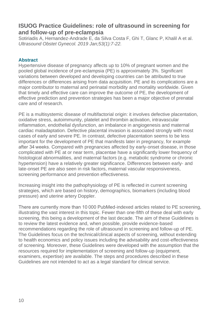### **ISUOG Practice Guidelines: role of ultrasound in screening for and follow-up of pre-eclampsia**

Sotiriadis A, Hernandez-Andrade E, da Silva Costa F, Ghi T, Glanc P, Khalil A et al. *Ultrasound Obstet Gynecol. 2019 Jan;53(1):7-22.*

#### **Abstract**

Hypertensive disease of pregnancy affects up to 10% of pregnant women and the pooled global incidence of pre‐eclampsia (PE) is approximately 3%. Significant variations between developed and developing countries can be attributed to true differences or differences arising from data acquisition. PE and its complications are a major contributor to maternal and perinatal morbidity and mortality worldwide. Given that timely and effective care can improve the outcome of PE, the development of effective prediction and prevention strategies has been a major objective of prenatal care and of research.

PE is a multisystemic disease of multifactorial origin: it involves defective placentation, oxidative stress, autoimmunity, platelet and thrombin activation, intravascular inflammation, endothelial dysfunction, an imbalance in angiogenesis and maternal cardiac maladaptation. Defective placental invasion is associated strongly with most cases of early and severe PE. In contrast, defective placentation seems to be less important for the development of PE that manifests later in pregnancy, for example after 34 weeks. Compared with pregnancies affected by early‐onset disease, in those complicated with PE at or near term, placentae have a significantly lower frequency of histological abnormalities, and maternal factors (e.g. metabolic syndrome or chronic hypertension) have a relatively greater significance. Differences between early‐ and late-onset PE are also seen in risk factors, maternal vascular responsiveness, screening performance and prevention effectiveness.

Increasing insight into the pathophysiology of PE is reflected in current screening strategies, which are based on history, demographics, biomarkers (including blood pressure) and uterine artery Doppler.

There are currently more than 10 000 PubMed‐indexed articles related to PE screening, illustrating the vast interest in this topic. Fewer than one‐fifth of these deal with early screening, this being a development of the last decade. The aim of these Guidelines is to review the latest evidence and, when possible, provide evidence‐based recommendations regarding the role of ultrasound in screening and follow‐up of PE. The Guidelines focus on the technical/clinical aspects of screening, without extending to health economics and policy issues including the advisability and cost‐effectiveness of screening. Moreover, these Guidelines were developed with the assumption that the resources required for implementation of screening and follow‐up (equipment, examiners, expertise) are available. The steps and procedures described in these Guidelines are not intended to act as a legal standard for clinical service.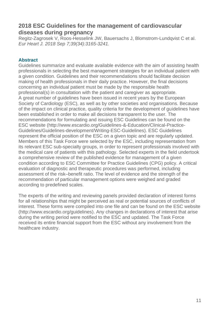### **2018 ESC Guidelines for the management of cardiovascular diseases during pregnancy**

Regitz-Zagrosek V, Roos-Hesselink JW, Bauersachs J, Blomstrom-Lundqvist C et al. *Eur Heart J. 2018 Sep 7;39(34):3165-3241.*

#### **Abstract**

Guidelines summarize and evaluate available evidence with the aim of assisting health professionals in selecting the best management strategies for an individual patient with a given condition. Guidelines and their recommendations should facilitate decision making of health professionals in their daily practice. However, the final decisions concerning an individual patient must be made by the responsible health professional(s) in consultation with the patient and caregiver as appropriate. A great number of guidelines have been issued in recent years by the European Society of Cardiology (ESC), as well as by other societies and organisations. Because of the impact on clinical practice, quality criteria for the development of guidelines have been established in order to make all decisions transparent to the user. The recommendations for formulating and issuing ESC Guidelines can be found on the ESC website [\(http://www.escardio.org/Guidelines-&-Education/Clinical-Practice-](http://www.escardio.org/Guidelines-&-Education/Clinical-Practice-Guidelines/Guidelines-development/Writing-ESC-Guidelines)[Guidelines/Guidelines-development/Writing-ESC-Guidelines\)](http://www.escardio.org/Guidelines-&-Education/Clinical-Practice-Guidelines/Guidelines-development/Writing-ESC-Guidelines). ESC Guidelines represent the official position of the ESC on a given topic and are regularly updated. Members of this Task Force were selected by the ESC, including representation from its relevant ESC sub-specialty groups, in order to represent professionals involved with the medical care of patients with this pathology. Selected experts in the field undertook a comprehensive review of the published evidence for management of a given condition according to ESC Committee for Practice Guidelines (CPG) policy. A critical evaluation of diagnostic and therapeutic procedures was performed, including assessment of the risk–benefit ratio. The level of evidence and the strength of the recommendation of particular management options were weighed and graded according to predefined scales.

The experts of the writing and reviewing panels provided declaration of interest forms for all relationships that might be perceived as real or potential sources of conflicts of interest. These forms were compiled into one file and can be found on the ESC website [\(http://www.escardio.org/guidelines\)](http://www.escardio.org/guidelines). Any changes in declarations of interest that arise during the writing period were notified to the ESC and updated. The Task Force received its entire financial support from the ESC without any involvement from the healthcare industry.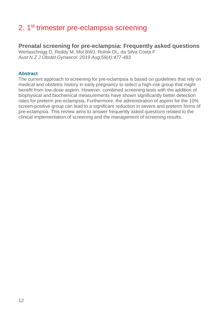## 2. 1<sup>st</sup> trimester pre-eclampsia screening

### **Prenatal screening for pre-eclampsia: Frequently asked questions**

Wertaschnigg D, Reddy M, Mol BWJ, Rolnik DL, da Silva Costa F *Aust N Z J Obstet Gynaecol. 2019 Aug;59(4):477-483*

#### **Abstract**

The current approach to screening for pre-eclampsia is based on guidelines that rely on medical and obstetric history in early pregnancy to select a high-risk group that might benefit from low-dose aspirin. However, combined screening tests with the addition of biophysical and biochemical measurements have shown significantly better detection rates for preterm pre-eclampsia. Furthermore, the administration of aspirin for the 10% screen-positive group can lead to a significant reduction in severe and preterm forms of pre-eclampsia. This review aims to answer frequently asked questions related to the clinical implementation of screening and the management of screening results.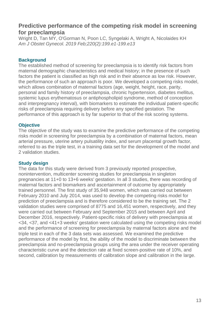### **Predictive performance of the competing risk model in screening for preeclampsia**

Wright D, Tan MY, O'Gorman N, Poon LC, Syngelaki A, Wright A, Nicolaides KH *Am J Obstet Gynecol. 2019 Feb;220(2):199.e1-199.e13*

#### **Background**

The established method of screening for preeclampsia is to identify risk factors from maternal demographic characteristics and medical history; in the presence of such factors the patient is classified as high risk and in their absence as low risk. However, the performance of such an approach is poor. We developed a competing risks model, which allows combination of maternal factors (age, weight, height, race, parity, personal and family history of preeclampsia, chronic hypertension, diabetes mellitus, systemic lupus erythematosus or antiphospholipid syndrome, method of conception and interpregnancy interval), with biomarkers to estimate the individual patient-specific risks of preeclampsia requiring delivery before any specified gestation. The performance of this approach is by far superior to that of the risk scoring systems.

#### **Objective**

The objective of the study was to examine the predictive performance of the competing risks model in screening for preeclampsia by a combination of maternal factors, mean arterial pressure, uterine artery pulsatility index, and serum placental growth factor, referred to as the triple test, in a training data set for the development of the model and 2 validation studies.

#### **Study design**

The data for this study were derived from 3 previously reported prospective, nonintervention, multicenter screening studies for preeclampsia in singleton pregnancies at 11+0 to 13+6 weeks' gestation. In all 3 studies, there was recording of maternal factors and biomarkers and ascertainment of outcome by appropriately trained personnel. The first study of 35,948 women, which was carried out between February 2010 and July 2014, was used to develop the competing risks model for prediction of preeclampsia and is therefore considered to be the training set. The 2 validation studies were comprised of 8775 and 16,451 women, respectively, and they were carried out between February and September 2015 and between April and December 2016, respectively. Patient-specific risks of delivery with preeclampsia at <34, <37, and <41+3 weeks' gestation were calculated using the competing risks model and the performance of screening for preeclampsia by maternal factors alone and the triple test in each of the 3 data sets was assessed. We examined the predictive performance of the model by first, the ability of the model to discriminate between the preeclampsia and no-preeclampsia groups using the area under the receiver operating characteristic curve and the detection rate at fixed screen-positive rate of 10%, and second, calibration by measurements of calibration slope and calibration in the large.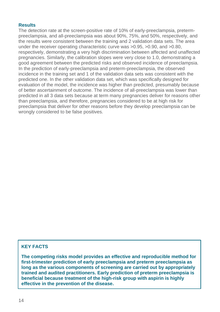#### **Results**

The detection rate at the screen-positive rate of 10% of early-preeclampsia, pretermpreeclampsia, and all-preeclampsia was about 90%, 75%, and 50%, respectively, and the results were consistent between the training and 2 validation data sets. The area under the receiver operating characteristic curve was >0.95, >0.90, and >0.80, respectively, demonstrating a very high discrimination between affected and unaffected pregnancies. Similarly, the calibration slopes were very close to 1.0, demonstrating a good agreement between the predicted risks and observed incidence of preeclampsia. In the prediction of early-preeclampsia and preterm-preeclampsia, the observed incidence in the training set and 1 of the validation data sets was consistent with the predicted one. In the other validation data set, which was specifically designed for evaluation of the model, the incidence was higher than predicted, presumably because of better ascertainment of outcome. The incidence of all-preeclampsia was lower than predicted in all 3 data sets because at term many pregnancies deliver for reasons other than preeclampsia, and therefore, pregnancies considered to be at high risk for preeclampsia that deliver for other reasons before they develop preeclampsia can be wrongly considered to be false positives.

#### **KEY FACTS**

**The competing risks model provides an effective and reproducible method for first-trimester prediction of early preeclampsia and preterm preeclampsia as long as the various components of screening are carried out by appropriately trained and audited practitioners. Early prediction of preterm preeclampsia is beneficial because treatment of the high-risk group with aspirin is highly effective in the prevention of the disease.**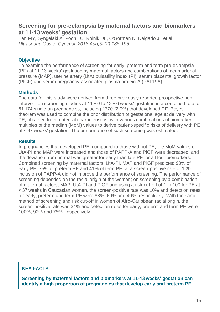### **Screening for pre-eclampsia by maternal factors and biomarkers at 11-13 weeks' gestation**

Tan MY, Syngelaki A, Poon LC, Rolnik DL, O'Gorman N, Delgado JL et al. *Ultrasound Obstet Gynecol. 2018 Aug;52(2):186-195*

#### **Objective**

To examine the performance of screening for early, preterm and term pre-eclampsia (PE) at 11-13 weeks' gestation by maternal factors and combinations of mean arterial pressure (MAP), uterine artery (UtA) pulsatility index (PI), serum placental growth factor (PlGF) and serum pregnancy-associated plasma protein-A (PAPP-A).

#### **Methods**

The data for this study were derived from three previously reported prospective nonintervention screening studies at 11 + 0 to 13 + 6 weeks' gestation in a combined total of 61 174 singleton pregnancies, including 1770 (2.9%) that developed PE. Bayes' theorem was used to combine the prior distribution of gestational age at delivery with PE, obtained from maternal characteristics, with various combinations of biomarker multiples of the median (MoM) values to derive patient-specific risks of delivery with PE at < 37 weeks' gestation. The performance of such screening was estimated.

#### **Results**

In pregnancies that developed PE, compared to those without PE, the MoM values of UtA-PI and MAP were increased and those of PAPP-A and PlGF were decreased, and the deviation from normal was greater for early than late PE for all four biomarkers. Combined screening by maternal factors, UtA-PI, MAP and PlGF predicted 90% of early PE, 75% of preterm PE and 41% of term PE, at a screen-positive rate of 10%; inclusion of PAPP-A did not improve the performance of screening. The performance of screening depended on the racial origin of the women; on screening by a combination of maternal factors, MAP, UtA-PI and PlGF and using a risk cut-off of 1 in 100 for PE at < 37 weeks in Caucasian women, the screen-positive rate was 10% and detection rates for early, preterm and term PE were 88%, 69% and 40%, respectively. With the same method of screening and risk cut-off in women of Afro-Caribbean racial origin, the screen-positive rate was 34% and detection rates for early, preterm and term PE were 100%, 92% and 75%, respectively.

### **KEY FACTS**

**Screening by maternal factors and biomarkers at 11-13 weeks' gestation can identify a high proportion of pregnancies that develop early and preterm PE.**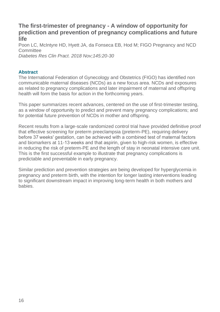### **The first-trimester of pregnancy - A window of opportunity for prediction and prevention of pregnancy complications and future life**

Poon LC, McIntyre HD, Hyett JA, da Fonseca EB, Hod M; FIGO Pregnancy and NCD Committee

*Diabetes Res Clin Pract. 2018 Nov;145:20-30*

#### **Abstract**

The International Federation of Gynecology and Obstetrics (FIGO) has identified non communicable maternal diseases (NCDs) as a new focus area. NCDs and exposures as related to pregnancy complications and later impairment of maternal and offspring health will form the basis for action in the forthcoming years.

This paper summarizes recent advances, centered on the use of first-trimester testing, as a window of opportunity to predict and prevent many pregnancy complications; and for potential future prevention of NCDs in mother and offspring.

Recent results from a large-scale randomized control trial have provided definitive proof that effective screening for preterm preeclampsia (preterm-PE), requiring delivery before 37 weeks' gestation, can be achieved with a combined test of maternal factors and biomarkers at 11-13 weeks and that aspirin, given to high-risk women, is effective in reducing the risk of preterm-PE and the length of stay in neonatal intensive care unit. This is the first successful example to illustrate that pregnancy complications is predictable and preventable in early pregnancy.

Similar prediction and prevention strategies are being developed for hyperglycemia in pregnancy and preterm birth, with the intention for longer lasting interventions leading to significant downstream impact in improving long-term health in both mothers and babies.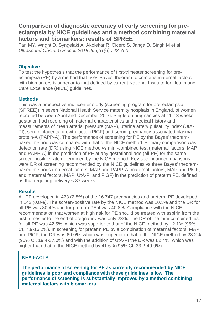### **Comparison of diagnostic accuracy of early screening for preeclampsia by NICE guidelines and a method combining maternal factors and biomarkers: results of SPREE**

Tan MY, Wright D, Syngelaki A, Akolekar R, Cicero S, Janga D, Singh M et al. *Ultrasound Obstet Gynecol. 2018 Jun;51(6):743-750*

#### **Objective**

To test the hypothesis that the performance of first-trimester screening for preeclampsia (PE) by a method that uses Bayes' theorem to combine maternal factors with biomarkers is superior to that defined by current National Institute for Health and Care Excellence (NICE) guidelines.

#### **Methods**

This was a prospective multicenter study (screening program for pre-eclampsia (SPREE)) in seven National Health Service maternity hospitals in England, of women recruited between April and December 2016. Singleton pregnancies at 11-13 weeks' gestation had recording of maternal characteristics and medical history and measurements of mean arterial pressure (MAP), uterine artery pulsatility index (UtA-PI), serum placental growth factor (PlGF) and serum pregnancy-associated plasma protein-A (PAPP-A). The performance of screening for PE by the Bayes' theorembased method was compared with that of the NICE method. Primary comparison was detection rate (DR) using NICE method vs mini-combined test (maternal factors, MAP and PAPP-A) in the prediction of PE at any gestational age (all-PE) for the same screen-positive rate determined by the NICE method. Key secondary comparisons were DR of screening recommended by the NICE guidelines vs three Bayes' theorembased methods (maternal factors, MAP and PAPP-A; maternal factors, MAP and PlGF; and maternal factors, MAP, UtA-PI and PlGF) in the prediction of preterm PE, defined as that requiring delivery < 37 weeks.

#### **Results**

All-PE developed in 473 (2.8%) of the 16 747 pregnancies and preterm PE developed in 142 (0.8%). The screen-positive rate by the NICE method was 10.3% and the DR for all-PE was 30.4% and for preterm PE it was 40.8%. Compliance with the NICE recommendation that women at high risk for PE should be treated with aspirin from the first trimester to the end of pregnancy was only 23%. The DR of the mini-combined test for all-PE was 42.5%, which was superior to that of the NICE method by 12.1% (95% CI, 7.9-16.2%). In screening for preterm PE by a combination of maternal factors, MAP and PlGF, the DR was 69.0%, which was superior to that of the NICE method by 28.2% (95% CI, 19.4-37.0%) and with the addition of UtA-PI the DR was 82.4%, which was higher than that of the NICE method by 41.6% (95% CI, 33.2-49.9%).

#### **KEY FACTS**

**The performance of screening for PE as currently recommended by NICE guidelines is poor and compliance with these guidelines is low. The performance of screening is substantially improved by a method combining maternal factors with biomarkers.**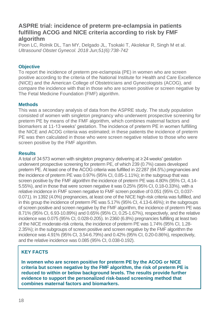### **ASPRE trial: incidence of preterm pre-eclampsia in patients fulfilling ACOG and NICE criteria according to risk by FMF algorithm**

Poon LC, Rolnik DL, Tan MY, Delgado JL, Tsokaki T, Akolekar R, Singh M et al. *Ultrasound Obstet Gynecol. 2018 Jun;51(6):738-742*

#### **Objective**

To report the incidence of preterm pre-eclampsia (PE) in women who are screen positive according to the criteria of the National Institute for Health and Care Excellence (NICE) and the American College of Obstetricians and Gynecologists (ACOG), and compare the incidence with that in those who are screen positive or screen negative by The Fetal Medicine Foundation (FMF) algorithm.

#### **Methods**

This was a secondary analysis of data from the ASPRE study. The study population consisted of women with singleton pregnancy who underwent prospective screening for preterm PE by means of the FMF algorithm, which combines maternal factors and biomarkers at 11-13 weeks' gestation. The incidence of preterm PE in women fulfilling the NICE and ACOG criteria was estimated; in these patients the incidence of preterm PE was then calculated in those who were screen negative relative to those who were screen positive by the FMF algorithm.

#### **Results**

A total of 34 573 women with singleton pregnancy delivering at ≥ 24 weeks' gestation underwent prospective screening for preterm PE, of which 239 (0.7%) cases developed preterm PE. At least one of the ACOG criteria was fulfilled in 22 287 (64.5%) pregnancies and the incidence of preterm PE was 0.97% (95% CI, 0.85-1.11%); in the subgroup that was screen positive by the FMF algorithm the incidence of preterm PE was 4.80% (95% CI, 4.14- 5.55%), and in those that were screen negative it was 0.25% (95% CI, 0.18-0.33%), with a relative incidence in FMF screen negative to FMF screen positive of 0.051 (95% CI, 0.037- 0.071). In 1392 (4.0%) pregnancies, at least one of the NICE high-risk criteria was fulfilled, and in this group the incidence of preterm PE was 5.17% (95% CI, 4.13-6.46%); in the subgroups of screen positive and screen negative by the FMF algorithm, the incidence of preterm PE was 8.71% (95% CI, 6.93-10.89%) and 0.65% (95% CI, 0.25-1.67%), respectively, and the relative incidence was 0.075 (95% CI, 0.028-0.205). In 2360 (6.8%) pregnancies fulfilling at least two of the NICE moderate-risk criteria, the incidence of preterm PE was 1.74% (95% CI, 1.28- 2.35%); in the subgroups of screen positive and screen negative by the FMF algorithm the incidence was 4.91% (95% CI, 3.54-6.79%) and 0.42% (95% CI, 0.20-0.86%), respectively, and the relative incidence was 0.085 (95% CI, 0.038-0.192).

### **KEY FACTS**

**In women who are screen positive for preterm PE by the ACOG or NICE criteria but screen negative by the FMF algorithm, the risk of preterm PE is reduced to within or below background levels. The results provide further evidence to support the personalized risk-based screening method that combines maternal factors and biomarkers.**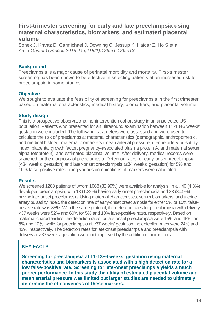### **First-trimester screening for early and late preeclampsia using maternal characteristics, biomarkers, and estimated placental volume**

Sonek J, Krantz D, Carmichael J, Downing C, Jessup K, Haidar Z, Ho S et al. *Am J Obstet Gynecol. 2018 Jan;218(1):126.e1-126.e13*

#### **Background**

Preeclampsia is a major cause of perinatal morbidity and mortality. First-trimester screening has been shown to be effective in selecting patients at an increased risk for preeclampsia in some studies.

#### **Objective**

We sought to evaluate the feasibility of screening for preeclampsia in the first trimester based on maternal characteristics, medical history, biomarkers, and placental volume.

#### **Study design**

This is a prospective observational nonintervention cohort study in an unselected US population. Patients who presented for an ultrasound examination between 11-13+6 weeks' gestation were included. The following parameters were assessed and were used to calculate the risk of preeclampsia: maternal characteristics (demographic, anthropometric, and medical history), maternal biomarkers (mean arterial pressure, uterine artery pulsatility index, placental growth factor, pregnancy-associated plasma protein A, and maternal serum alpha-fetoprotein), and estimated placental volume. After delivery, medical records were searched for the diagnosis of preeclampsia. Detection rates for early-onset preeclampsia (<34 weeks' gestation) and later-onset preeclampsia (≥34 weeks' gestation) for 5% and 10% false-positive rates using various combinations of markers were calculated.

#### **Results**

We screened 1288 patients of whom 1068 (82.99%) were available for analysis. In all, 46 (4.3%) developed preeclampsia, with 13 (1.22%) having early-onset preeclampsia and 33 (3.09%) having late-onset preeclampsia. Using maternal characteristics, serum biomarkers, and uterine artery pulsatility index, the detection rate of early-onset preeclampsia for either 5% or 10% falsepositive rate was 85%. With the same protocol, the detection rates for preeclampsia with delivery <37 weeks were 52% and 60% for 5% and 10% false-positive rates, respectively. Based on maternal characteristics, the detection rates for late-onset preeclampsia were 15% and 48% for 5% and 10%, while for preeclampsia at ≥37 weeks' gestation the detection rates were 24% and 43%, respectively. The detection rates for late-onset preeclampsia and preeclampsia with delivery at >37 weeks' gestation were not improved by the addition of biomarkers.

### **KEY FACTS**

**Screening for preeclampsia at 11-13+6 weeks' gestation using maternal characteristics and biomarkers is associated with a high detection rate for a low false-positive rate. Screening for late-onset preeclampsia yields a much poorer performance. In this study the utility of estimated placental volume and mean arterial pressure was limited but larger studies are needed to ultimately determine the effectiveness of these markers.**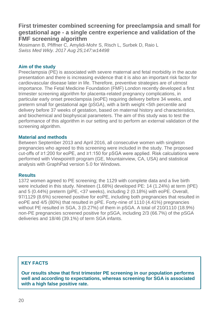### **First trimester combined screening for preeclampsia and small for gestational age - a single centre experience and validation of the FMF screening algorithm**

Mosimann B, Pfiffner C, Amylidi-Mohr S, Risch L, Surbek D, Raio L *Swiss Med Wkly. 2017 Aug 25;147:w14498*

#### **Aim of the study**

Preeclampsia (PE) is associated with severe maternal and fetal morbidity in the acute presentation and there is increasing evidence that it is also an important risk factor for cardiovascular disease later in life. Therefore, preventive strategies are of utmost importance. The Fetal Medicine Foundation (FMF) London recently developed a first trimester screening algorithm for placenta-related pregnancy complications, in particular early onset preeclampsia (eoPE) requiring delivery before 34 weeks, and preterm small for gestational age (pSGA), with a birth weight <5th percentile and delivery before 37 weeks of gestation, based on maternal history and characteristics, and biochemical and biophysical parameters. The aim of this study was to test the performance of this algorithm in our setting and to perform an external validation of the screening algorithm.

#### **Material and methods**

Between September 2013 and April 2016, all consecutive women with singleton pregnancies who agreed to this screening were included in the study. The proposed cut-offs of ≥1:200 for eoPE, and ≥1:150 for pSGA were applied. Risk calculations were performed with Viewpoint® program (GE, Mountainview, CA, USA) and statistical analysis with GraphPad version 5.0 for Windows.

#### **Results**

1372 women agreed to PE screening; the 1129 with complete data and a live birth were included in this study. Nineteen (1.68%) developed PE: 14 (1.24%) at term (tPE) and 5 (0.44%) preterm (pPE, <37 weeks), including 2 (0.18%) with eoPE. Overall, 97/1129 (8.6%) screened positive for eoPE, including both pregnancies that resulted in eoPE and 4/5 (80%) that resulted in pPE. Forty-nine of 1110 (4.41%) pregnancies without PE resulted in SGA, 3 (0.27%) of them in pSGA. A total of 210/1110 (18.9%) non-PE pregnancies screened positive for pSGA, including 2/3 (66.7%) of the pSGA deliveries and 18/46 (39.1%) of term SGA infants.

#### **KEY FACTS**

**Our results show that first trimester PE screening in our population performs well and according to expectations, whereas screening for SGA is associated with a high false positive rate.**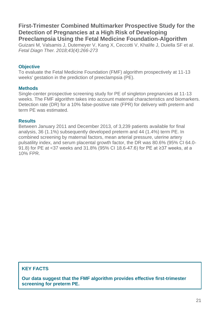### **First-Trimester Combined Multimarker Prospective Study for the Detection of Pregnancies at a High Risk of Developing Preeclampsia Using the Fetal Medicine Foundation-Algorithm**

Guizani M, Valsamis J, Dutemeyer V, Kang X, Ceccotti V, Khalife J, Duiella SF et al. *Fetal Diagn Ther. 2018;43(4):266-273*

#### **Objective**

To evaluate the Fetal Medicine Foundation (FMF) algorithm prospectively at 11-13 weeks' gestation in the prediction of preeclampsia (PE).

#### **Methods**

Single-center prospective screening study for PE of singleton pregnancies at 11-13 weeks. The FMF algorithm takes into account maternal characteristics and biomarkers. Detection rate (DR) for a 10% false-positive rate (FPR) for delivery with preterm and term PE was estimated.

#### **Results**

Between January 2011 and December 2013, of 3,239 patients available for final analysis, 36 (1.1%) subsequently developed preterm and 44 (1.4%) term PE. In combined screening by maternal factors, mean arterial pressure, uterine artery pulsatility index, and serum placental growth factor, the DR was 80.6% (95% CI 64.0- 91.8) for PE at <37 weeks and 31.8% (95% CI 18.6-47.6) for PE at ≥37 weeks, at a 10% FPR.

### **KEY FACTS**

**Our data suggest that the FMF algorithm provides effective first-trimester screening for preterm PE.**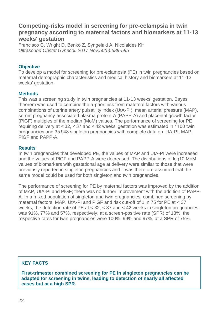### **Competing-risks model in screening for pre-eclampsia in twin pregnancy according to maternal factors and biomarkers at 11-13 weeks' gestation**

Francisco C, Wright D, Benkő Z, Syngelaki A, Nicolaides KH *Ultrasound Obstet Gynecol. 2017 Nov;50(5):589-595*

#### **Objective**

To develop a model for screening for pre-eclampsia (PE) in twin pregnancies based on maternal demographic characteristics and medical history and biomarkers at 11-13 weeks' gestation.

#### **Methods**

This was a screening study in twin pregnancies at 11-13 weeks' gestation. Bayes theorem was used to combine the a-priori risk from maternal factors with various combinations of uterine artery pulsatility index (UtA-PI), mean arterial pressure (MAP), serum pregnancy-associated plasma protein-A (PAPP-A) and placental growth factor (PlGF) multiples of the median (MoM) values. The performance of screening for PE requiring delivery at < 32, < 37 and < 42 weeks' gestation was estimated in 1100 twin pregnancies and 35 948 singleton pregnancies with complete data on UtA-PI, MAP, PlGF and PAPP-A.

#### **Results**

In twin pregnancies that developed PE, the values of MAP and UtA-PI were increased and the values of PlGF and PAPP-A were decreased. The distributions of log10 MoM values of biomarkers with gestational age at delivery were similar to those that were previously reported in singleton pregnancies and it was therefore assumed that the same model could be used for both singleton and twin pregnancies.

The performance of screening for PE by maternal factors was improved by the addition of MAP, UtA-PI and PlGF; there was no further improvement with the addition of PAPP-A. In a mixed population of singleton and twin pregnancies, combined screening by maternal factors, MAP, UtA-PI and PlGF and risk cut-off of 1 in 75 for PE at < 37 weeks, the detection rate of PE at < 32, < 37 and < 42 weeks in singleton pregnancies was 91%, 77% and 57%, respectively, at a screen-positive rate (SPR) of 13%; the respective rates for twin pregnancies were 100%, 99% and 97%, at a SPR of 75%.

#### **KEY FACTS**

**First-trimester combined screening for PE in singleton pregnancies can be adapted for screening in twins, leading to detection of nearly all affected cases but at a high SPR.**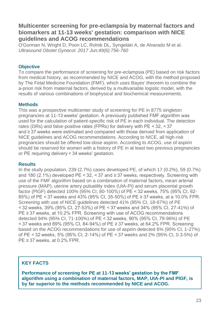### **Multicenter screening for pre-eclampsia by maternal factors and biomarkers at 11-13 weeks' gestation: comparison with NICE guidelines and ACOG recommendations**

O'Gorman N, Wright D, Poon LC, Rolnik DL, Syngelaki A, de Alvarado M et al. *Ultrasound Obstet Gynecol. 2017 Jun;49(6):756-760*

#### **Objective**

To compare the performance of screening for pre-eclampsia (PE) based on risk factors from medical history, as recommended by NICE and ACOG, with the method proposed by The Fetal Medicine Foundation (FMF), which uses Bayes' theorem to combine the a-priori risk from maternal factors, derived by a multivariable logistic model, with the results of various combinations of biophysical and biochemical measurements.

#### **Methods**

This was a prospective multicenter study of screening for PE in 8775 singleton pregnancies at 11-13 weeks' gestation. A previously published FMF algorithm was used for the calculation of patient-specific risk of PE in each individual. The detection rates (DRs) and false-positive rates (FPRs) for delivery with PE < 32, < 37 and ≥ 37 weeks were estimated and compared with those derived from application of NICE guidelines and ACOG recommendations. According to NICE, all high-risk pregnancies should be offered low-dose aspirin. According to ACOG, use of aspirin should be reserved for women with a history of PE in at least two previous pregnancies or PE requiring delivery < 34 weeks' gestation.

#### **Results**

In the study population, 239 (2.7%) cases developed PE, of which 17 (0.2%), 59 (0.7%) and 180 (2.1%) developed PE <  $32$ , <  $37$  and  $\geq 37$  weeks, respectively. Screening with use of the FMF algorithm based on a combination of maternal factors, mean arterial pressure (MAP), uterine artery pulsatility index (UtA-PI) and serum placental growth factor (PlGF) detected 100% (95% CI, 80-100%) of PE < 32 weeks, 75% (95% CI, 62- 85%) of PE < 37 weeks and 43% (95% CI, 35-50%) of PE ≥ 37 weeks, at a 10.0% FPR. Screening with use of NICE guidelines detected 41% (95% CI, 18-67%) of PE < 32 weeks, 39% (95% CI, 27-53%) of PE < 37 weeks and 34% (95% CI, 27-41%) of PE ≥ 37 weeks, at 10.2% FPR. Screening with use of ACOG recommendations detected 94% (95% CI, 71-100%) of PE < 32 weeks, 90% (95% CI, 79-96%) of PE < 37 weeks and 89% (95% CI, 84-94%) of PE ≥ 37 weeks, at 64.2% FPR. Screening based on the ACOG recommendations for use of aspirin detected 6% (95% CI, 1-27%) of PE < 32 weeks, 5% (95% CI, 2-14%) of PE < 37 weeks and 2% (95% CI, 0.3-5%) of PE ≥ 37 weeks, at 0.2% FPR.

#### **KEY FACTS**

**Performance of screening for PE at 11-13 weeks' gestation by the FMF algorithm using a combination of maternal factors, MAP, UtA-PI and PlGF, is by far superior to the methods recommended by NICE and ACOG.**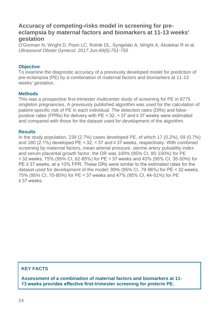### **Accuracy of competing-risks model in screening for preeclampsia by maternal factors and biomarkers at 11-13 weeks' gestation**

O'Gorman N, Wright D, Poon LC, Rolnik DL, Syngelaki A, Wright A, Akolekar R et al. *Ultrasound Obstet Gynecol. 2017 Jun;49(6):751-755*

#### **Objective**

To examine the diagnostic accuracy of a previously developed model for prediction of pre-eclampsia (PE) by a combination of maternal factors and biomarkers at 11-13 weeks' gestation.

#### **Methods**

This was a prospective first-trimester multicenter study of screening for PE in 8775 singleton pregnancies. A previously published algorithm was used for the calculation of patient-specific risk of PE in each individual. The detection rates (DRs) and falsepositive rates (FPRs) for delivery with PE <  $32$ , <  $37$  and  $\geq$  37 weeks were estimated and compared with those for the dataset used for development of the algorithm.

#### **Results**

In the study population, 239 (2.7%) cases developed PE, of which 17 (0.2%), 59 (0.7%) and 180 (2.1%) developed PE < 32, < 37 and  $\geq$  37 weeks, respectively. With combined screening by maternal factors, mean arterial pressure, uterine artery pulsatility index and serum placental growth factor, the DR was 100% (95% CI, 80-100%) for PE < 32 weeks, 75% (95% CI, 62-85%) for PE < 37 weeks and 43% (95% CI, 35-50%) for PE ≥ 37 weeks, at a 10% FPR. These DRs were similar to the estimated rates for the dataset used for development of the model: 89% (95% CI, 79-96%) for PE < 32 weeks, 75% (95% CI, 70-80%) for PE < 37 weeks and 47% (95% CI, 44-51%) for PE ≥ 37 weeks.

#### **KEY FACTS**

**Assessment of a combination of maternal factors and biomarkers at 11- 13 weeks provides effective first-trimester screening for preterm PE.**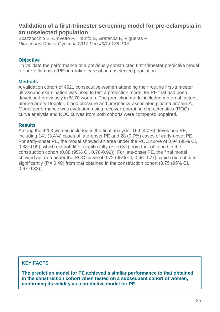### **Validation of a first-trimester screening model for pre-eclampsia in an unselected population**

Scazzocchio E, Crovetto F, Triunfo S, Gratacós E, Figueras F *Ultrasound Obstet Gynecol. 2017 Feb;49(2):188-193*

#### **Objective**

To validate the performance of a previously constructed first-trimester predictive model for pre-eclampsia (PE) in routine care of an unselected population.

#### **Methods**

A validation cohort of 4621 consecutive women attending their routine first-trimester ultrasound examination was used to test a prediction model for PE that had been developed previously in 5170 women. The prediction model included maternal factors, uterine artery Doppler, blood pressure and pregnancy-associated plasma protein-A. Model performance was evaluated using receiver-operating characteristics (ROC) curve analysis and ROC curves from both cohorts were compared unpaired.

#### **Results**

Among the 4203 women included in the final analysis, 169 (4.0%) developed PE, including 141 (3.4%) cases of late-onset PE and 28 (0.7%) cases of early-onset PE. For early-onset PE, the model showed an area under the ROC curve of 0.94 (95% CI, 0.88-0.99), which did not differ significantly ( $P = 0.37$ ) from that obtained in the construction cohort (0.88 (95% CI, 0.78-0.99)). For late-onset PE, the final model showed an area under the ROC curve of 0.72 (95% CI, 0.66-0.77), which did not differ significantly ( $P = 0.49$ ) from that obtained in the construction cohort (0.75 (95% CI, 0.67-0.82)).

#### **KEY FACTS**

**The prediction model for PE achieved a similar performance to that obtained in the construction cohort when tested on a subsequent cohort of women, confirming its validity as a predictive model for PE.**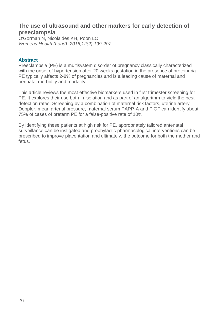### **The use of ultrasound and other markers for early detection of preeclampsia**

O'Gorman N, Nicolaides KH, Poon LC *Womens Health (Lond). 2016;12(2):199-207*

#### **Abstract**

Preeclampsia (PE) is a multisystem disorder of pregnancy classically characterized with the onset of hypertension after 20 weeks gestation in the presence of proteinuria. PE typically affects 2-8% of pregnancies and is a leading cause of maternal and perinatal morbidity and mortality.

This article reviews the most effective biomarkers used in first trimester screening for PE. It explores their use both in isolation and as part of an algorithm to yield the best detection rates. Screening by a combination of maternal risk factors, uterine artery Doppler, mean arterial pressure, maternal serum PAPP-A and PlGF can identify about 75% of cases of preterm PE for a false-positive rate of 10%.

By identifying these patients at high risk for PE, appropriately tailored antenatal surveillance can be instigated and prophylactic pharmacological interventions can be prescribed to improve placentation and ultimately, the outcome for both the mother and fetus.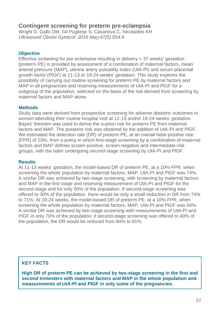### **Contingent screening for preterm pre-eclampsia**

Wright D[, Gallo DM,](https://www.ncbi.nlm.nih.gov/pubmed/?term=Gallo%20DM%5BAuthor%5D&cauthor=true&cauthor_uid=26643929) Gil Pugliese S, Casanova C, Nicolaides KH *Ultrasound Obstet Gynecol. 2016 May;47(5):554-9*

#### **Objective**

Effective screening for pre-eclampsia resulting in delivery < 37 weeks' gestation (preterm PE) is provided by assessment of a combination of maternal factors, mean arterial pressure (MAP), uterine artery pulsatility index (UtA-PI) and serum placental growth factor (PlGF) at 11-13 or 19-24 weeks' gestation. This study explores the possibility of carrying out routine screening for preterm PE by maternal factors and MAP in all pregnancies and reserving measurements of UtA-PI and PlGF for a subgroup of the population, selected on the basis of the risk derived from screening by maternal factors and MAP alone.

#### **Methods**

Study data were derived from prospective screening for adverse obstetric outcomes in women attending their routine hospital visit at 11-13 and/or 19-24 weeks' gestation. Bayes' theorem was used to derive the a-priori risk for preterm PE from maternal factors and MAP. The posterior risk was obtained by the addition of UtA-PI and PlGF. We estimated the detection rate (DR) of preterm PE, at an overall false-positive rate (FPR) of 10%, from a policy in which first-stage screening by a combination of maternal factors and MAP defines screen-positive, screen-negative and intermediate-risk groups, with the latter undergoing second-stage screening by UtA-PI and PlGF.

#### **Results**

At 11-13 weeks' gestation, the model-based DR of preterm PE, at a 10% FPR, when screening the whole population by maternal factors, MAP, UtA-PI and PlGF was 74%. A similar DR was achieved by two-stage screening, with screening by maternal factors and MAP in the first stage and reserving measurement of UtA-PI and PlGF for the second stage and for only 50% of the population. If second-stage screening was offered to 30% of the population, there would be only a small reduction in DR from 74% to 71%. At 19-24 weeks, the model-based DR of preterm PE, at a 10% FPR, when screening the whole population by maternal factors, MAP, UtA-PI and PlGF was 84%. A similar DR was achieved by two-stage screening with measurements of UtA-PI and PlGF in only 70% of the population; if second-stage screening was offered to 40% of the population, the DR would be reduced from 84% to 81%.

#### **KEY FACTS**

**High DR of preterm PE can be achieved by two-stage screening in the first and second trimesters with maternal factors and MAP in the whole population and measurements of UtA-PI and PlGF in only some of the pregnancies.**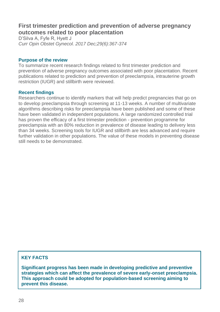### **First trimester prediction and prevention of adverse pregnancy outcomes related to poor placentation**

D'Silva A, Fyfe R, Hyett J *Curr Opin Obstet Gynecol. 2017 Dec;29(6):367-374*

#### **Purpose of the review**

To summarize recent research findings related to first trimester prediction and prevention of adverse pregnancy outcomes associated with poor placentation. Recent publications related to prediction and prevention of preeclampsia, intrauterine growth restriction (IUGR) and stillbirth were reviewed.

#### **Recent findings**

Researchers continue to identify markers that will help predict pregnancies that go on to develop preeclampsia through screening at 11-13 weeks. A number of multivariate algorithms describing risks for preeclampsia have been published and some of these have been validated in independent populations. A large randomized controlled trial has proven the efficacy of a first trimester prediction - prevention programme for preeclampsia with an 80% reduction in prevalence of disease leading to delivery less than 34 weeks. Screening tools for IUGR and stillbirth are less advanced and require further validation in other populations. The value of these models in preventing disease still needs to be demonstrated.

#### **KEY FACTS**

**Significant progress has been made in developing predictive and preventive strategies which can affect the prevalence of severe early-onset preeclampsia. This approach could be adopted for population-based screening aiming to prevent this disease.**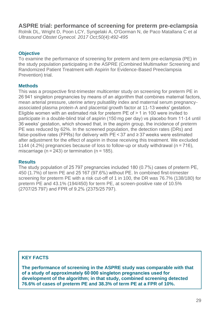**ASPRE trial: performance of screening for preterm pre-eclampsia**

Rolnik DL, Wright D, Poon LCY, Syngelaki A, O'Gorman N, de Paco Matallana C et al *Ultrasound Obstet Gynecol. 2017 Oct;50(4):492-495*

### **Objective**

To examine the performance of screening for preterm and term pre-eclampsia (PE) in the study population participating in the ASPRE (Combined Multimarker Screening and Randomized Patient Treatment with Aspirin for Evidence-Based Preeclampsia Prevention) trial.

#### **Methods**

This was a prospective first-trimester multicenter study on screening for preterm PE in 26 941 singleton pregnancies by means of an algorithm that combines maternal factors, mean arterial pressure, uterine artery pulsatility index and maternal serum pregnancyassociated plasma protein-A and placental growth factor at 11-13 weeks' gestation. Eligible women with an estimated risk for preterm PE of > 1 in 100 were invited to participate in a double-blind trial of aspirin (150 mg per day) vs placebo from 11-14 until 36 weeks' gestation, which showed that, in the aspirin group, the incidence of preterm PE was reduced by 62%. In the screened population, the detection rates (DRs) and false-positive rates (FPRs) for delivery with PE < 37 and  $\geq$  37 weeks were estimated after adjustment for the effect of aspirin in those receiving this treatment. We excluded 1144 (4.2%) pregnancies because of loss to follow-up or study withdrawal (n = 716), miscarriage (n = 243) or termination (n = 185).

#### **Results**

The study population of 25 797 pregnancies included 180 (0.7%) cases of preterm PE, 450 (1.7%) of term PE and 25 167 (97.6%) without PE. In combined first-trimester screening for preterm PE with a risk cut-off of 1 in 100, the DR was 76.7% (138/180) for preterm PE and 43.1% (194/450) for term PE, at screen-positive rate of 10.5% (2707/25 797) and FPR of 9.2% (2375/25 797).

#### **KEY FACTS**

**The performance of screening in the ASPRE study was comparable with that of a study of approximately 60 000 singleton pregnancies used for development of the algorithm; in that study, combined screening detected 76.6% of cases of preterm PE and 38.3% of term PE at a FPR of 10%.**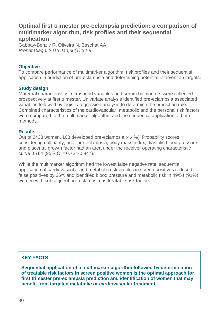### **Optimal first trimester pre-eclampsia prediction: a comparison of multimarker algorithm, risk profiles and their sequential application**

[Gabbay-Benziv R,](https://www.ncbi.nlm.nih.gov/pubmed/?term=Gabbay-Benziv%20R%5BAuthor%5D&cauthor=true&cauthor_uid=26448637) [Oliveira N,](https://www.ncbi.nlm.nih.gov/pubmed/?term=Oliveira%20N%5BAuthor%5D&cauthor=true&cauthor_uid=26448637) [Baschat AA](https://www.ncbi.nlm.nih.gov/pubmed/?term=Baschat%20AA%5BAuthor%5D&cauthor=true&cauthor_uid=26448637) *[Prenat Diagn.](https://www.ncbi.nlm.nih.gov/pubmed/26448637) 2016 Jan;36(1):34-9*

#### **Objective**

To compare performance of multimarker algorithm, risk profiles and their sequential application in prediction of pre-eclampsia and determining potential intervention targets.

#### **Study design**

Maternal characteristics, ultrasound variables and serum biomarkers were collected prospectively at first trimester. Univariate analysis identified pre-eclampsia associated variables followed by logistic regression analysis to determine the prediction rule. Combined characteristics of the cardiovascular, metabolic and the personal risk factors were compared to the multimarker algorithm and the sequential application of both methods.

#### **Results**

Out of 2433 women, 108 developed pre-eclampsia (4.4%). Probability scores considering nulliparity, prior pre-eclampsia, body mass index, diastolic blood pressure and placental growth factor had an area under the receiver operating characteristic curve 0.784 (95% CI = 0.721-0.847).

While the multimarker algorithm had the lowest false negative rate, sequential application of cardiovascular and metabolic risk profiles in screen positives reduced false positives by 26% and identified blood pressure and metabolic risk in 49/54 (91%) women with subsequent pre-eclampsia as treatable risk factors.

### **KEY FACTS**

**Sequential application of a multimarker algorithm followed by determination of treatable risk factors in screen positive women is the optimal approach for first trimester pre-eclampsia prediction and identification of women that may benefit from targeted metabolic or cardiovascular treatment.**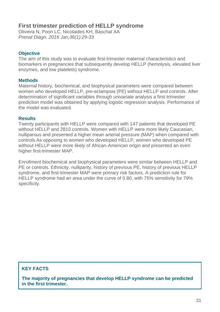### **First trimester prediction of HELLP syndrome**

[Oliveira N,](https://www.ncbi.nlm.nih.gov/pubmed/?term=Oliveira%20N%5BAuthor%5D&cauthor=true&cauthor_uid=26402854) [Poon LC,](https://www.ncbi.nlm.nih.gov/pubmed/?term=Poon%20LC%5BAuthor%5D&cauthor=true&cauthor_uid=26402854) [Nicolaides KH,](https://www.ncbi.nlm.nih.gov/pubmed/?term=Nicolaides%20KH%5BAuthor%5D&cauthor=true&cauthor_uid=26402854) [Baschat AA](https://www.ncbi.nlm.nih.gov/pubmed/?term=Baschat%20AA%5BAuthor%5D&cauthor=true&cauthor_uid=26402854) *[Prenat Diagn.](https://www.ncbi.nlm.nih.gov/pubmed/26402854) 2016 Jan;36(1):29-33*

#### **Objective**

The aim of this study was to evaluate first-trimester maternal characteristics and biomarkers in pregnancies that subsequently develop HELLP (hemolysis, elevated liver enzymes, and low platelets) syndrome.

#### **Methods**

Maternal history, biochemical, and biophysical parameters were compared between women who developed HELLP, pre-eclampsia (PE) without HELLP and controls. After determination of significant variables through univariate analysis a first-trimester prediction model was obtained by applying logistic regression analysis. Performance of the model was evaluated.

#### **Results**

Twenty participants with HELLP were compared with 147 patients that developed PE without HELLP and 2810 controls. Women with HELLP were more likely Caucasian, nulliparous and presented a higher mean arterial pressure (MAP) when compared with controls.As opposing to women who developed HELLP, women who developed PE without HELLP were more likely of African-American origin and presented an even higher first-trimester MAP.

Enrollment biochemical and biophysical parameters were similar between HELLP and PE or controls. Ethnicity, nulliparity, history of previous PE, history of previous HELLP syndrome, and first-trimester MAP were primary risk factors. A prediction rule for HELLP syndrome had an area under the curve of 0.80, with 75% sensitivity for 79% specificity.

### **KEY FACTS**

**The majority of pregnancies that develop HELLP syndrome can be predicted in the first trimester.**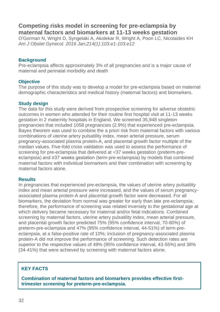### **Competing risks model in screening for pre-eclampsia by maternal factors and biomarkers at 11-13 weeks gestation**

[O'Gorman N,](https://www.ncbi.nlm.nih.gov/pubmed/?term=O) [Wright D,](https://www.ncbi.nlm.nih.gov/pubmed/?term=Wright%20D%5BAuthor%5D&cauthor=true&cauthor_uid=26297382) [Syngelaki A,](https://www.ncbi.nlm.nih.gov/pubmed/?term=Syngelaki%20A%5BAuthor%5D&cauthor=true&cauthor_uid=26297382) [Akolekar R,](https://www.ncbi.nlm.nih.gov/pubmed/?term=Akolekar%20R%5BAuthor%5D&cauthor=true&cauthor_uid=26297382) [Wright A,](https://www.ncbi.nlm.nih.gov/pubmed/?term=Wright%20A%5BAuthor%5D&cauthor=true&cauthor_uid=26297382) [Poon LC,](https://www.ncbi.nlm.nih.gov/pubmed/?term=Poon%20LC%5BAuthor%5D&cauthor=true&cauthor_uid=26297382) [Nicolaides KH](https://www.ncbi.nlm.nih.gov/pubmed/?term=Nicolaides%20KH%5BAuthor%5D&cauthor=true&cauthor_uid=26297382) *[Am J Obstet Gynecol.](https://www.ncbi.nlm.nih.gov/pubmed/26297382) 2016 Jan;214(1):103.e1-103.e12*

#### **Background**

Pre-eclampsia affects approximately 3% of all pregnancies and is a major cause of maternal and perinatal morbidity and death

#### **Objective**

The purpose of this study was to develop a model for pre-eclampsia based on maternal demographic characteristics and medical history (maternal factors) and biomarkers.

#### **Study design**

The data for this study were derived from prospective screening for adverse obstetric outcomes in women who attended for their routine first hospital visit at 11-13 weeks gestation in 2 maternity hospitals in England. We screened 35,948 singleton pregnancies that included 1058 pregnancies (2.9%) that experienced pre-eclampsia. Bayes theorem was used to combine the a priori risk from maternal factors with various combinations of uterine artery pulsatility index, mean arterial pressure, serum pregnancy-associated plasma protein-A, and placental growth factor multiple of the median values. Five-fold cross validation was used to assess the performance of screening for pre-eclampsia that delivered at <37 weeks gestation (preterm-preeclampsia) and ≥37 weeks gestation (term-pre-eclampsia) by models that combined maternal factors with individual biomarkers and their combination with screening by maternal factors alone.

#### **Results**

In pregnancies that experienced pre-eclampsia, the values of uterine artery pulsatility index and mean arterial pressure were increased, and the values of serum pregnancyassociated plasma protein-A and placental growth factor were decreased. For all biomarkers, the deviation from normal was greater for early than late pre-eclampsia; therefore, the performance of screening was related inversely to the gestational age at which delivery became necessary for maternal and/or fetal indications. Combined screening by maternal factors, uterine artery pulsatility index, mean arterial pressure, and placental growth factor predicted 75% (95% confidence interval, 70-80%) of preterm-pre-eclampsia and 47% (95% confidence interval, 44-51%) of term-preeclampsia, at a false-positive rate of 10%; inclusion of pregnancy-associated plasma protein-A did not improve the performance of screening. Such detection rates are superior to the respective values of 49% (95% confidence interval, 43-55%) and 38% (34-41%) that were achieved by screening with maternal factors alone.

### **KEY FACTS**

**Combination of maternal factors and biomarkers provides effective firsttrimester screening for preterm-pre-eclampsia.**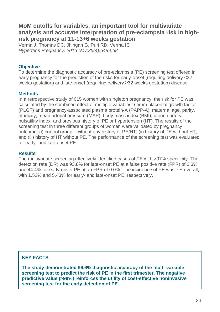### **MoM cutoffs for variables, an important tool for multivariate analysis and accurate interpretation of pre-eclampsia risk in highrisk pregnancy at 11-13+6 weeks gestation**

[Verma J,](https://www.ncbi.nlm.nih.gov/pubmed/?term=Verma%20J%5BAuthor%5D&cauthor=true&cauthor_uid=27599037) [Thomas DC,](https://www.ncbi.nlm.nih.gov/pubmed/?term=Thomas%20DC%5BAuthor%5D&cauthor=true&cauthor_uid=27599037) [Jhingan G,](https://www.ncbi.nlm.nih.gov/pubmed/?term=Jhingan%20G%5BAuthor%5D&cauthor=true&cauthor_uid=27599037) [Puri RD,](https://www.ncbi.nlm.nih.gov/pubmed/?term=Puri%20RD%5BAuthor%5D&cauthor=true&cauthor_uid=27599037) [Verma IC](https://www.ncbi.nlm.nih.gov/pubmed/?term=Verma%20IC%5BAuthor%5D&cauthor=true&cauthor_uid=27599037) *[Hypertens Pregnancy.](https://www.ncbi.nlm.nih.gov/pubmed/27599037) 2016 Nov;35(4):548-558*

#### **Objective**

To determine the diagnostic accuracy of pre-eclampsia (PE) screening test offered in early pregnancy for the prediction of the risks for early-onset (requiring delivery <32 weeks gestation) and late-onset (requiring delivery ≥32 weeks gestation) disease.

#### **Methods**

In a retrospective study of 615 women with singleton pregnancy, the risk for PE was calculated by the combined effect of multiple variables: serum placental growth factor (PLGF) and pregnancy-associated plasma protein-A (PAPP-A), maternal age, parity, ethnicity, mean arterial pressure (MAP), body mass index (BMI), uterine arterypulsatility index, and previous history of PE or hypertension (HT). The results of the screening test in three different groups of women were validated by pregnancy outcome: (i) control group - without any history of PE/HT; (ii) history of PE without HT; and (iii) history of HT without PE. The performance of the screening test was evaluated for early- and late-onset PE.

#### **Results**

The multivariate screening effectively identified cases of PE with >97% specificity. The detection rate (DR) was 93.8% for late-onset PE at a false positive rate (FPR) of 2.3% and 44.4% for early-onset PE at an FPR of 0.0%. The incidence of PE was 7% overall, with 1.52% and 5.43% for early- and late-onset PE, respectively.

### **KEY FACTS**

**The study demonstrated 96.6% diagnostic accuracy of the multi-variable screening test to predict the risk of PE in the first trimester. The negative predictive value (>98%) reinforces the utility of cost-effective noninvasive screening test for the early detection of PE.**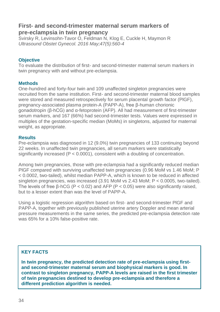### **First- and second-trimester maternal serum markers of pre-eclampsia in twin pregnancy**

[Svirsky R,](https://www.ncbi.nlm.nih.gov/pubmed/?term=Svirsky%20R%5BAuthor%5D&cauthor=true&cauthor_uid=25865365) [Levinsohn-Tavor O,](https://www.ncbi.nlm.nih.gov/pubmed/?term=Levinsohn-Tavor%20O%5BAuthor%5D&cauthor=true&cauthor_uid=25865365) [Feldman N,](https://www.ncbi.nlm.nih.gov/pubmed/?term=Feldman%20N%5BAuthor%5D&cauthor=true&cauthor_uid=25865365) [Klog E,](https://www.ncbi.nlm.nih.gov/pubmed/?term=Klog%20E%5BAuthor%5D&cauthor=true&cauthor_uid=25865365) [Cuckle H,](https://www.ncbi.nlm.nih.gov/pubmed/?term=Cuckle%20H%5BAuthor%5D&cauthor=true&cauthor_uid=25865365) [Maymon R](https://www.ncbi.nlm.nih.gov/pubmed/?term=Maymon%20R%5BAuthor%5D&cauthor=true&cauthor_uid=25865365) *[Ultrasound Obstet Gynecol.](https://www.ncbi.nlm.nih.gov/pubmed/25865365) 2016 May;47(5):560-4*

#### **Objective**

To evaluate the distribution of first- and second-trimester maternal serum markers in twin pregnancy with and without pre-eclampsia.

#### **Methods**

One-hundred and forty-four twin and 109 unaffected singleton pregnancies were recruited from the same institution. First- and second-trimester maternal blood samples were stored and measured retrospectively for serum placental growth factor (PlGF), pregnancy-associated plasma protein-A (PAPP-A), free β-human chorionic gonadotropin (β-hCG) and α-fetoprotein (AFP). All had measurement of first-trimester serum markers, and 167 (66%) had second-trimester tests. Values were expressed in multiples of the gestation-specific median (MoMs) in singletons, adjusted for maternal weight, as appropriate.

#### **Results**

Pre-eclampsia was diagnosed in 12 (9.0%) twin pregnancies of 133 continuing beyond 22 weeks. In unaffected twin pregnancies, all serum markers were statistically significantly increased (P < 0.0001), consistent with a doubling of concentration.

Among twin pregnancies, those with pre-eclampsia had a significantly reduced median PIGF compared with surviving unaffected twin pregnancies (0.96 MoM vs 1.46 MoM; P < 0.0002, two-tailed), whilst median PAPP-A, which is known to be reduced in affected singleton pregnancies, was increased (3.91 MoM vs 2.43 MoM; P < 0.0005, two-tailed). The levels of free  $\beta$ -hCG (P < 0.02) and AFP (P < 0.05) were also significantly raised. but to a lesser extent than was the level of PAPP-A.

Using a logistic regression algorithm based on first- and second-trimester PlGF and PAPP-A, together with previously published uterine artery Doppler and mean arterial pressure measurements in the same series, the predicted pre-eclampsia detection rate was 65% for a 10% false-positive rate.

### **KEY FACTS**

**In twin pregnancy, the predicted detection rate of pre-eclampsia using firstand second-trimester maternal serum and biophysical markers is good. In contrast to singleton pregnancy, PAPP-A levels are raised in the first trimester of twin pregnancies destined to develop pre-eclampsia and therefore a different prediction algorithm is needed.**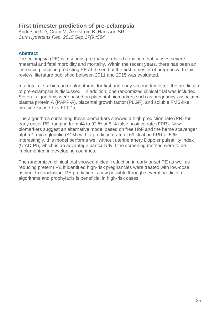### **First trimester prediction of pre-eclampsia**

[Anderson UD,](https://www.ncbi.nlm.nih.gov/pubmed/?term=Anderson%20UD%5BAuthor%5D&cauthor=true&cauthor_uid=26232922) [Gram M,](https://www.ncbi.nlm.nih.gov/pubmed/?term=Gram%20M%5BAuthor%5D&cauthor=true&cauthor_uid=26232922) [Åkerström B,](https://www.ncbi.nlm.nih.gov/pubmed/?term=%C3%85kerstr%C3%B6m%20B%5BAuthor%5D&cauthor=true&cauthor_uid=26232922) [Hansson SR](https://www.ncbi.nlm.nih.gov/pubmed/?term=Hansson%20SR%5BAuthor%5D&cauthor=true&cauthor_uid=26232922) *[Curr Hypertens Rep.](https://www.ncbi.nlm.nih.gov/pubmed/26232922) 2015 Sep;17(9):584*

#### **Abstract**

Pre-eclampsia (PE) is a serious pregnancy-related condition that causes severe maternal and fetal morbidity and mortality. Within the recent years, there has been an increasing focus in predicting PE at the end of the first trimester of pregnancy. In this review, literature published between 2011 and 2015 was evaluated.

In a total of six biomarker algorithms, for first and early second trimester, the prediction of pre-eclampsia is discussed. In addition, one randomized clinical trial was included. Several algorithms were based on placental biomarkers such as pregnancy-associated plasma protein A (PAPP-A), placental growth factor (PLGF), and soluble FMS-like tyrosine kinase 1 (s-FLT-1).

The algorithms containing these biomarkers showed a high prediction rate (PR) for early onset PE, ranging from 44 to 92 % at 5 % false positive rate (FPR). New biomarkers suggest an alternative model based on free HbF and the heme scavenger alpha-1-microglobulin (A1M) with a prediction rate of 69 % at an FPR of 5 %. Interestingly, this model performs well without uterine artery Doppler pulsatility index (UtAD-PI), which is an advantage particularly if the screening method were to be implemented in developing countries.

The randomized clinical trial showed a clear reduction in early onset PE as well as reducing preterm PE if identified high-risk pregnancies were treated with low-dose aspirin. In conclusion, PE prediction is now possible through several prediction algorithms and prophylaxis is beneficial in high-risk cases.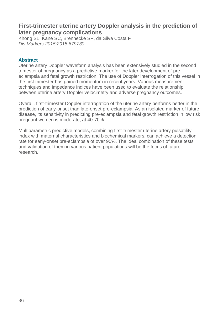### **First-trimester uterine artery Doppler analysis in the prediction of later pregnancy complications**

[Khong SL,](https://www.ncbi.nlm.nih.gov/pubmed/?term=Khong%20SL%5BAuthor%5D&cauthor=true&cauthor_uid=25972623) [Kane SC,](https://www.ncbi.nlm.nih.gov/pubmed/?term=Kane%20SC%5BAuthor%5D&cauthor=true&cauthor_uid=25972623) [Brennecke SP,](https://www.ncbi.nlm.nih.gov/pubmed/?term=Brennecke%20SP%5BAuthor%5D&cauthor=true&cauthor_uid=25972623) [da Silva Costa F](https://www.ncbi.nlm.nih.gov/pubmed/?term=da%20Silva%20Costa%20F%5BAuthor%5D&cauthor=true&cauthor_uid=25972623) *[Dis Markers](https://www.ncbi.nlm.nih.gov/pubmed/25972623) 2015;2015:679730*

#### **Abstract**

Uterine artery Doppler waveform analysis has been extensively studied in the second trimester of pregnancy as a predictive marker for the later development of preeclampsia and fetal growth restriction. The use of Doppler interrogation of this vessel in the first trimester has gained momentum in recent years. Various measurement techniques and impedance indices have been used to evaluate the relationship between uterine artery Doppler velocimetry and adverse pregnancy outcomes.

Overall, first-trimester Doppler interrogation of the uterine artery performs better in the prediction of early-onset than late-onset pre-eclampsia. As an isolated marker of future disease, its sensitivity in predicting pre-eclampsia and fetal growth restriction in low risk pregnant women is moderate, at 40-70%.

Multiparametric predictive models, combining first-trimester uterine artery pulsatility index with maternal characteristics and biochemical markers, can achieve a detection rate for early-onset pre-eclampsia of over 90%. The ideal combination of these tests and validation of them in various patient populations will be the focus of future research.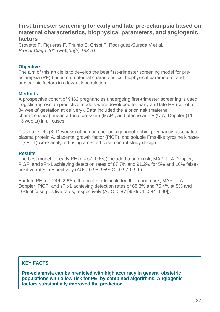### **First trimester screening for early and late pre-eclampsia based on maternal characteristics, biophysical parameters, and angiogenic factors**

[Crovetto F,](https://www.ncbi.nlm.nih.gov/pubmed/?term=Crovetto%20F%5BAuthor%5D&cauthor=true&cauthor_uid=25346181) [Figueras F,](https://www.ncbi.nlm.nih.gov/pubmed/?term=Figueras%20F%5BAuthor%5D&cauthor=true&cauthor_uid=25346181) [Triunfo S,](https://www.ncbi.nlm.nih.gov/pubmed/?term=Triunfo%20S%5BAuthor%5D&cauthor=true&cauthor_uid=25346181) [Crispi F,](https://www.ncbi.nlm.nih.gov/pubmed/?term=Crispi%20F%5BAuthor%5D&cauthor=true&cauthor_uid=25346181) [Rodriguez-Sureda V](https://www.ncbi.nlm.nih.gov/pubmed/?term=Rodriguez-Sureda%20V%5BAuthor%5D&cauthor=true&cauthor_uid=25346181) et al. *[Prenat Diagn](https://www.ncbi.nlm.nih.gov/pubmed/25346181) 2015 Feb;35(2):183-91*

#### **Objective**

The aim of this article is to develop the best first-trimester screening model for preeclampsia (PE) based on maternal characteristics, biophysical parameters, and angiogenic factors in a low-risk population.

#### **Methods**

A prospective cohort of 9462 pregnancies undergoing first-trimester screening is used. Logistic regression predictive models were developed for early and late PE (cut-off of 34 weeks' gestation at delivery). Data included the a priori risk (maternal characteristics), mean arterial pressure (MAP), and uterine artery (UtA) Doppler (11- 13 weeks) in all cases.

Plasma levels (8-11 weeks) of human chorionic gonadotrophin, pregnancy-associated plasma protein A, placental growth factor (PlGF), and soluble Fms-like tyrosine kinase-1 (sFlt-1) were analyzed using a nested case-control study design.

#### **Results**

The best model for early PE (n = 57, 0.6%) included a priori risk, MAP, UtA Doppler, PlGF, and sFlt-1 achieving detection rates of 87.7% and 91.2% for 5% and 10% falsepositive rates, respectively (AUC: 0.98 [95% CI: 0.97-0.99]).

For late PE (n = 246, 2.6%), the best model included the a priori risk, MAP, UtA Doppler, PlGF, and sFlt-1 achieving detection rates of 68.3% and 76.4% at 5% and 10% of false-positive rates, respectively (AUC: 0.87 [95% CI: 0.84-0.90]).

#### **KEY FACTS**

**Pre-eclampsia can be predicted with high accuracy in general obstetric populations with a low risk for PE, by combined algorithms. Angiogenic factors substantially improved the prediction.**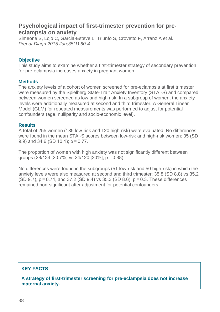### **Psychological impact of first-trimester prevention for preeclampsia on anxiety**

[Simeone S,](https://www.ncbi.nlm.nih.gov/pubmed/?term=Simeone%20S%5BAuthor%5D&cauthor=true&cauthor_uid=25156501) [Lojo C,](https://www.ncbi.nlm.nih.gov/pubmed/?term=Lojo%20C%5BAuthor%5D&cauthor=true&cauthor_uid=25156501) [Garcia-Esteve L,](https://www.ncbi.nlm.nih.gov/pubmed/?term=Garcia-Esteve%20L%5BAuthor%5D&cauthor=true&cauthor_uid=25156501) [Triunfo S,](https://www.ncbi.nlm.nih.gov/pubmed/?term=Triunfo%20S%5BAuthor%5D&cauthor=true&cauthor_uid=25156501) [Crovetto F,](https://www.ncbi.nlm.nih.gov/pubmed/?term=Crovetto%20F%5BAuthor%5D&cauthor=true&cauthor_uid=25156501) [Arranz A](https://www.ncbi.nlm.nih.gov/pubmed/?term=Arranz%20A%5BAuthor%5D&cauthor=true&cauthor_uid=25156501) et al. *[Prenat Diagn](https://www.ncbi.nlm.nih.gov/pubmed/25156501) 2015 Jan;35(1):60-4*

#### **Objective**

This study aims to examine whether a first-trimester strategy of secondary prevention for pre-eclampsia increases anxiety in pregnant women.

#### **Methods**

The anxiety levels of a cohort of women screened for pre-eclampsia at first trimester were measured by the Spielberg State-Trait Anxiety Inventory (STAI-S) and compared between women screened as low and high risk. In a subgroup of women, the anxiety levels were additionally measured at second and third trimester. A General Linear Model (GLM) for repeated measurements was performed to adjust for potential confounders (age, nulliparity and socio-economic level).

#### **Results**

A total of 255 women (135 low-risk and 120 high-risk) were evaluated. No differences were found in the mean STAI-S scores between low-risk and high-risk women: 35 (SD 9.9) and 34.6 (SD 10.1); p = 0.77.

The proportion of women with high anxiety was not significantly different between groups (28/134 [20.7%] vs 24/120 [20%]; p = 0.88).

No differences were found in the subgroups (51 low-risk and 50 high-risk) in which the anxiety levels were also measured at second and third trimester: 35.8 (SD 8.8) vs 35.2 (SD 9.7), p = 0.74, and 37.2 (SD 9.4) vs 35.3 (SD 8.6), p = 0.3. These differences remained non-significant after adjustment for potential confounders.

### **KEY FACTS**

**A strategy of first-trimester screening for pre-eclampsia does not increase maternal anxiety.**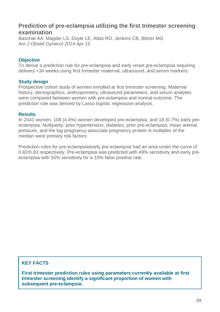### **Prediction of pre-eclampsia utilizing the first trimester screening examination**

[Baschat AA,](http://www.ncbi.nlm.nih.gov/pubmed?term=Baschat%20AA%5BAuthor%5D&cauthor=true&cauthor_uid=24746997) [Magder LS,](http://www.ncbi.nlm.nih.gov/pubmed?term=Magder%20LS%5BAuthor%5D&cauthor=true&cauthor_uid=24746997) [Doyle LE,](http://www.ncbi.nlm.nih.gov/pubmed?term=Doyle%20LE%5BAuthor%5D&cauthor=true&cauthor_uid=24746997) [Atlas RO,](http://www.ncbi.nlm.nih.gov/pubmed?term=Atlas%20RO%5BAuthor%5D&cauthor=true&cauthor_uid=24746997) [Jenkins CB,](http://www.ncbi.nlm.nih.gov/pubmed?term=Jenkins%20CB%5BAuthor%5D&cauthor=true&cauthor_uid=24746997) [Blitzer MG](http://www.ncbi.nlm.nih.gov/pubmed?term=Blitzer%20MG%5BAuthor%5D&cauthor=true&cauthor_uid=24746997) *[Am J Obstet Gynecol](http://www.ncbi.nlm.nih.gov/pubmed/24746997) 2014 Apr 15*

#### **Objective**

To derive a prediction rule for pre-eclampsia and early onset pre-eclampsia requiring delivery <34 weeks using first trimester maternal, ultrasound, and serum markers.

#### **Study design**

Prospective cohort study of women enrolled at first trimester screening. Maternal history, demographics, anthropometry, ultrasound parameters, and serum analytes were compared between women with pre-eclampsia and normal outcome. The prediction rule was derived by Lasso logistic regression analysis.

#### **Results**

In 2441 women, 108 (4.4%) women developed pre-eclampsia, and 18 (0.7%) early preeclampsia. Nulliparity, prior hypertension, diabetes, prior pre-eclampsia, mean arterial pressure, and the log pregnancy-associate pregnancy protein-A multiples of the median were primary risk factors.

Prediction rules for pre-eclampsia/early pre-eclampsia had an area under the curve of 0.82/0.83 respectively. Pre-eclampsia was predicted with 49% sensitivity and early preeclampsia with 55% sensitivity for a 10% false positive rate.

#### **KEY FACTS**

**First trimester prediction rules using parameters currently available at first trimester screening identify a significant proportion of women with subsequent pre-eclampsia.**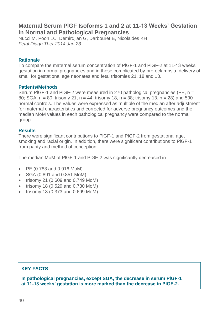### **Maternal Serum PlGF Isoforms 1 and 2 at 11-13 Weeks' Gestation in Normal and Pathological Pregnancies**

Nucci M, Poon LC, Demirdjian G, Darbouret B, Nicolaides KH *[Fetal Diagn Ther](http://www.ncbi.nlm.nih.gov/pubmed/24457972) 2014 Jan 23*

#### **Rationale**

To compare the maternal serum concentration of PlGF-1 and PlGF-2 at 11-13 weeks' gestation in normal pregnancies and in those complicated by pre-eclampsia, delivery of small for gestational age neonates and fetal trisomies 21, 18 and 13.

#### **Patients/Methods**

Serum PlGF-1 and PlGF-2 were measured in 270 pathological pregnancies (PE, n = 80; SGA, n = 80; trisomy 21, n = 44; trisomy 18, n = 38; trisomy 13, n = 28) and 590 normal controls. The values were expressed as multiple of the median after adjustment for maternal characteristics and corrected for adverse pregnancy outcomes and the median MoM values in each pathological pregnancy were compared to the normal group.

#### **Results**

There were significant contributions to PlGF-1 and PlGF-2 from gestational age, smoking and racial origin. In addition, there were significant contributions to PlGF-1 from parity and method of conception.

The median MoM of PlGF-1 and PlGF-2 was significantly decreased in

- PE (0.783 and 0.916 MoM)
- SGA (0.891 and 0.851 MoM)
- trisomy 21 (0.609 and 0.749 MoM)
- trisomy 18 (0.529 and 0.730 MoM)
- trisomy 13 (0.373 and 0.699 MoM)

### **KEY FACTS**

**In pathological pregnancies, except SGA, the decrease in serum PlGF-1 at 11-13 weeks' gestation is more marked than the decrease in PlGF-2.**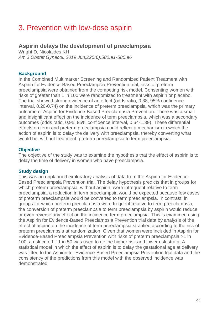## 3. Prevention with low-dose aspirin

### **Aspirin delays the development of preeclampsia**

Wright D, Nicolaides KH *Am J Obstet Gynecol. 2019 Jun;220(6):580.e1-580.e6*

#### **Background**

In the Combined Multimarker Screening and Randomized Patient Treatment with Aspirin for Evidence-Based Preeclampsia Prevention trial, risks of preterm preeclampsia were obtained from the competing risk model. Consenting women with risks of greater than 1 in 100 were randomized to treatment with aspirin or placebo. The trial showed strong evidence of an effect (odds ratio, 0.38, 95% confidence interval, 0.20-0.74) on the incidence of preterm preeclampsia, which was the primary outcome of Aspirin for Evidence-Based Preeclampsia Prevention. There was a small and insignificant effect on the incidence of term preeclampsia, which was a secondary outcomes (odds ratio, 0.95, 95% confidence interval, 0.64-1.39). These differential effects on term and preterm preeclampsia could reflect a mechanism in which the action of aspirin is to delay the delivery with preeclampsia, thereby converting what would be, without treatment, preterm preeclampsia to term preeclampsia.

#### **Objective**

The objective of the study was to examine the hypothesis that the effect of aspirin is to delay the time of delivery in women who have preeclampsia.

#### **Study design**

This was an unplanned exploratory analysis of data from the Aspirin for Evidence-Based Preeclampsia Prevention trial. The delay hypothesis predicts that in groups for which preterm preeclampsia, without aspirin, were infrequent relative to term preeclampsia, a reduction in term preeclampsia would be expected because few cases of preterm preeclampsia would be converted to term preeclampsia. In contrast, in groups for which preterm preeclampsia were frequent relative to term preeclampsia, the conversion of preterm preeclampsia to term preeclampsia by aspirin would reduce or even reverse any effect on the incidence term preeclampsia. This is examined using the Aspirin for Evidence-Based Preeclampsia Prevention trial data by analysis of the effect of aspirin on the incidence of term preeclampsia stratified according to the risk of preterm preeclampsia at randomization. Given that women were included in Aspirin for Evidence-Based Preeclampsia Prevention with risks of preterm preeclampsia >1 in 100, a risk cutoff if 1 in 50 was used to define higher risk and lower risk strata. A statistical model in which the effect of aspirin is to delay the gestational age at delivery was fitted to the Aspirin for Evidence-Based Preeclampsia Prevention trial data and the consistency of the predictions from this model with the observed incidence was demonstrated.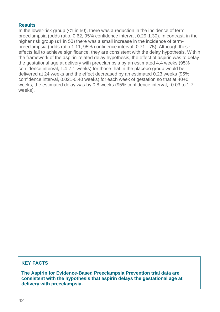#### **Results**

In the lower-risk group  $(1 \text{ in } 50)$ , there was a reduction in the incidence of term preeclampsia (odds ratio, 0.62, 95% confidence interval, 0.29-1.30). In contrast, in the higher risk group (≥1 in 50) there was a small increase in the incidence of termpreeclampsia (odds ratio 1.11, 95% confidence interval, 0.71- .75). Although these effects fail to achieve significance, they are consistent with the delay hypothesis. Within the framework of the aspirin-related delay hypothesis, the effect of aspirin was to delay the gestational age at delivery with preeclampsia by an estimated 4.4 weeks (95% confidence interval, 1.4-7.1 weeks) for those that in the placebo group would be delivered at 24 weeks and the effect decreased by an estimated 0.23 weeks (95% confidence interval, 0.021-0.40 weeks) for each week of gestation so that at 40+0 weeks, the estimated delay was by 0.8 weeks (95% confidence interval, -0.03 to 1.7 weeks).

#### **KEY FACTS**

**The Aspirin for Evidence-Based Preeclampsia Prevention trial data are consistent with the hypothesis that aspirin delays the gestational age at delivery with preeclampsia.**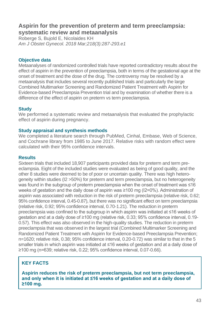### **Aspirin for the prevention of preterm and term preeclampsia: systematic review and metaanalysis**

Roberge S, Bujold E, Nicolaides KH *Am J Obstet Gynecol. 2018 Mar;218(3):287-293.e1*

#### **Objective data**

Metaanalyses of randomized controlled trials have reported contradictory results about the effect of aspirin in the prevention of preeclampsia, both in terms of the gestational age at the onset of treatment and the dose of the drug. The controversy may be resolved by a metaanalysis that includes several recently published trials and particularly the large Combined Multimarker Screening and Randomized Patient Treatment with Aspirin for Evidence-based Preeclampsia Prevention trial and by examination of whether there is a difference of the effect of aspirin on preterm vs term preeclampsia.

#### **Study**

We performed a systematic review and metaanalysis that evaluated the prophylactic effect of aspirin during pregnancy.

#### **Study appraisal and synthesis methods**

We completed a literature search through PubMed, Cinhal, Embase, Web of Science, and Cochrane library from 1985 to June 2017. Relative risks with random effect were calculated with their 95% confidence intervals.

#### **Results**

Sixteen trials that included 18,907 participants provided data for preterm and term preeclampsia. Eight of the included studies were evaluated as being of good quality, and the other 8 studies were deemed to be of poor or uncertain quality. There was high heterogeneity within studies (I2 >50%) for preterm and term preeclampsia, but no heterogeneity was found in the subgroup of preterm preeclampsia when the onset of treatment was ≤16 weeks of gestation and the daily dose of aspirin was ≥100 mg (I2=0%). Administration of aspirin was associated with reduction in the risk of preterm preeclampsia (relative risk, 0.62; 95% confidence interval, 0.45-0.87), but there was no significant effect on term preeclampsia (relative risk, 0.92; 95% confidence interval, 0.70-1.21). The reduction in preterm preeclampsia was confined to the subgroup in which aspirin was initiated at ≤16 weeks of gestation and at a daily dose of ≥100 mg (relative risk, 0.33; 95% confidence interval, 0.19- 0.57). This effect was also observed in the high-quality studies. The reduction in preterm preeclampsia that was observed in the largest trial (Combined Multimarker Screening and Randomized Patient Treatment with Aspirin for Evidence-based Preeclampsia Prevention; n=1620; relative risk, 0.38; 95% confidence interval, 0.20-0.72) was similar to that in the 5 smaller trials in which aspirin was initiated at ≤16 weeks of gestation and at a daily dose of ≥100 mg (n=639; relative risk, 0.22; 95% confidence interval, 0.07-0.66).

### **KEY FACTS**

**Aspirin reduces the risk of preterm preeclampsia, but not term preeclampsia, and only when it is initiated at ≤16 weeks of gestation and at a daily dose of ≥100 mg.**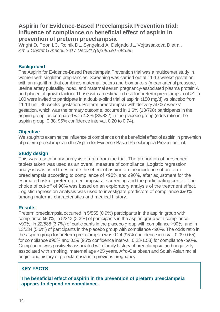### **Aspirin for Evidence-Based Preeclampsia Prevention trial: influence of compliance on beneficial effect of aspirin in prevention of preterm preeclampsia**

Wright D, Poon LC, Rolnik DL, Syngelaki A, Delgado JL, Vojtassakova D et al. *Am J Obstet Gynecol. 2017 Dec;217(6):685.e1-685.e5*

#### **Background**

The Aspirin for Evidence-Based Preeclampsia Prevention trial was a multicenter study in women with singleton pregnancies. Screening was carried out at 11-13 weeks' gestation with an algorithm that combines maternal factors and biomarkers (mean arterial pressure, uterine artery pulsatility index, and maternal serum pregnancy-associated plasma protein A and placental growth factor). Those with an estimated risk for preterm preeclampsia of >1 in 100 were invited to participate in a double-blind trial of aspirin (150 mg/d) vs placebo from 11-14 until 36 weeks' gestation. Preterm preeclampsia with delivery at <37 weeks' gestation, which was the primary outcome, occurred in 1.6% (13/798) participants in the aspirin group, as compared with 4.3% (35/822) in the placebo group (odds ratio in the aspirin group, 0.38; 95% confidence interval, 0.20 to 0.74).

#### **Objective**

We sought to examine the influence of compliance on the beneficial effect of aspirin in prevention of preterm preeclampsia in the Aspirin for Evidence-Based Preeclampsia Prevention trial.

#### **Study design**

This was a secondary analysis of data from the trial. The proportion of prescribed tablets taken was used as an overall measure of compliance. Logistic regression analysis was used to estimate the effect of aspirin on the incidence of preterm preeclampsia according to compliance of <90% and ≥90%, after adjustment for the estimated risk of preterm preeclampsia at screening and the participating center. The choice of cut-off of 90% was based on an exploratory analysis of the treatment effect. Logistic regression analysis was used to investigate predictors of compliance ≥90% among maternal characteristics and medical history.

#### **Results**

Preterm preeclampsia occurred in 5/555 (0.9%) participants in the aspirin group with compliance ≥90%, in 8/243 (3.3%) of participants in the aspirin group with compliance <90%, in 22/588 (3.7%) of participants in the placebo group with compliance ≥90%, and in 13/234 (5.6%) of participants in the placebo group with compliance <90%. The odds ratio in the aspirin group for preterm preeclampsia was 0.24 (95% confidence interval, 0.09-0.65) for compliance ≥90% and 0.59 (95% confidence interval, 0.23-1.53) for compliance <90%. Compliance was positively associated with family history of preeclampsia and negatively associated with smoking, maternal age <25 years, Afro-Caribbean and South Asian racial origin, and history of preeclampsia in a previous pregnancy.

### **KEY FACTS**

**The beneficial effect of aspirin in the prevention of preterm preeclampsia appears to depend on compliance.**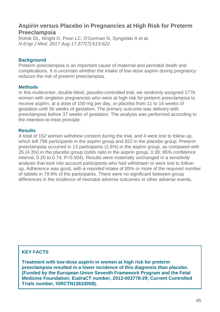### **Aspirin versus Placebo in Pregnancies at High Risk for Preterm Preeclampsia**

Rolnik DL, Wright D, Poon LC, O'Gorman N, Syngelaki A et al. *N Engl J Med. 2017 Aug 17;377(7):613-622*

#### **Background**

Preterm preeclampsia is an important cause of maternal and perinatal death and complications. It is uncertain whether the intake of low-dose aspirin during pregnancy reduces the risk of preterm preeclampsia.

#### **Methods**

In this multicenter, double-blind, placebo-controlled trial, we randomly assigned 1776 women with singleton pregnancies who were at high risk for preterm preeclampsia to receive aspirin, at a dose of 150 mg per day, or placebo from 11 to 14 weeks of gestation until 36 weeks of gestation. The primary outcome was delivery with preeclampsia before 37 weeks of gestation. The analysis was performed according to the intention-to-treat principle.

#### **Results**

A total of 152 women withdrew consent during the trial, and 4 were lost to follow up, which left 798 participants in the aspirin group and 822 in the placebo group. Preterm preeclampsia occurred in 13 participants (1.6%) in the aspirin group, as compared with 35 (4.3%) in the placebo group (odds ratio in the aspirin group, 0.38; 95% confidence interval, 0.20 to 0.74; P=0.004). Results were materially unchanged in a sensitivity analysis that took into account participants who had withdrawn or were lost to followup. Adherence was good, with a reported intake of 85% or more of the required number of tablets in 79.9% of the participants. There were no significant between-group differences in the incidence of neonatal adverse outcomes or other adverse events.

### **KEY FACTS**

**Treatment with low-dose aspirin in women at high risk for preterm preeclampsia resulted in a lower incidence of this diagnosis than placebo. (Funded by the European Union Seventh Framework Program and the Fetal Medicine Foundation; EudraCT number, 2013-003778-29; Current Controlled Trials number, ISRCTN13633058).**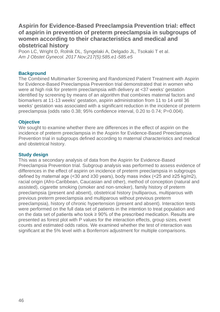### **Aspirin for Evidence-Based Preeclampsia Prevention trial: effect of aspirin in prevention of preterm preeclampsia in subgroups of women according to their characteristics and medical and obstetrical history**

Poon LC, Wright D, Rolnik DL, Syngelaki A, Delgado JL, Tsokaki T et al. *Am J Obstet Gynecol. 2017 Nov;217(5):585.e1-585.e5*

#### **Background**

The Combined Multimarker Screening and Randomized Patient Treatment with Aspirin for Evidence-Based Preeclampsia Prevention trial demonstrated that in women who were at high risk for preterm preeclampsia with delivery at <37 weeks' gestation identified by screening by means of an algorithm that combines maternal factors and biomarkers at 11-13 weeks' gestation, aspirin administration from 11 to 14 until 36 weeks' gestation was associated with a significant reduction in the incidence of preterm preeclampsia (odds ratio 0.38; 95% confidence interval, 0.20 to 0.74; P=0.004).

#### **Objective**

We sought to examine whether there are differences in the effect of aspirin on the incidence of preterm preeclampsia in the Aspirin for Evidence-Based Preeclampsia Prevention trial in subgroups defined according to maternal characteristics and medical and obstetrical history.

#### **Study design**

This was a secondary analysis of data from the Aspirin for Evidence-Based Preeclampsia Prevention trial. Subgroup analysis was performed to assess evidence of differences in the effect of aspirin on incidence of preterm preeclampsia in subgroups defined by maternal age (<30 and ≥30 years), body mass index (<25 and ≥25 kg/m2). racial origin (Afro-Caribbean, Caucasian and other), method of conception (natural and assisted), cigarette smoking (smoker and non-smoker), family history of preterm preeclampsia (present and absent), obstetrical history (nulliparous, multiparous with previous preterm preeclampsia and multiparous without previous preterm preeclampsia), history of chronic hypertension (present and absent). Interaction tests were performed on the full data set of patients in the intention to treat population and on the data set of patients who took  $\geq 90\%$  of the prescribed medication. Results are presented as forest plot with P values for the interaction effects, group sizes, event counts and estimated odds ratios. We examined whether the test of interaction was significant at the 5% level with a Bonferroni adjustment for multiple comparisons.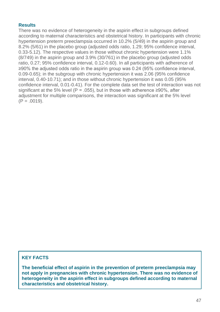#### **Results**

There was no evidence of heterogeneity in the aspirin effect in subgroups defined according to maternal characteristics and obstetrical history. In participants with chronic hypertension preterm preeclampsia occurred in 10.2% (5/49) in the aspirin group and 8.2% (5/61) in the placebo group (adjusted odds ratio, 1.29; 95% confidence interval, 0.33-5.12). The respective values in those without chronic hypertension were 1.1% (8/749) in the aspirin group and 3.9% (30/761) in the placebo group (adjusted odds ratio, 0.27; 95% confidence interval, 0.12-0.60). In all participants with adherence of ≥90% the adjusted odds ratio in the aspirin group was 0.24 (95% confidence interval, 0.09-0.65); in the subgroup with chronic hypertension it was 2.06 (95% confidence interval, 0.40-10.71); and in those without chronic hypertension it was 0.05 (95% confidence interval, 0.01-0.41). For the complete data set the test of interaction was not significant at the 5% level (P = .055), but in those with adherence  $\geq$ 90%, after adjustment for multiple comparisons, the interaction was significant at the 5% level  $(P = .0019)$ .

#### **KEY FACTS**

**The beneficial effect of aspirin in the prevention of preterm preeclampsia may not apply in pregnancies with chronic hypertension. There was no evidence of heterogeneity in the aspirin effect in subgroups defined according to maternal characteristics and obstetrical history.**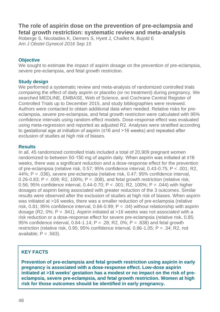### **The role of aspirin dose on the prevention of pre-eclampsia and fetal growth restriction: systematic review and meta-analysis**

[Roberge S,](https://www.ncbi.nlm.nih.gov/pubmed/?term=Roberge%20S%5BAuthor%5D&cauthor=true&cauthor_uid=27640943) [Nicolaides K,](https://www.ncbi.nlm.nih.gov/pubmed/?term=Nicolaides%20K%5BAuthor%5D&cauthor=true&cauthor_uid=27640943) [Demers S,](https://www.ncbi.nlm.nih.gov/pubmed/?term=Demers%20S%5BAuthor%5D&cauthor=true&cauthor_uid=27640943) [Hyett J,](https://www.ncbi.nlm.nih.gov/pubmed/?term=Hyett%20J%5BAuthor%5D&cauthor=true&cauthor_uid=27640943) [Chaillet N,](https://www.ncbi.nlm.nih.gov/pubmed/?term=Chaillet%20N%5BAuthor%5D&cauthor=true&cauthor_uid=27640943) [Bujold E](https://www.ncbi.nlm.nih.gov/pubmed/?term=Bujold%20E%5BAuthor%5D&cauthor=true&cauthor_uid=27640943) *[Am J Obstet Gynecol](https://www.ncbi.nlm.nih.gov/pubmed/27640943) 2016 Sep 15* 

#### **Objective**

We sought to estimate the impact of aspirin dosage on the prevention of pre-eclampsia, severe pre-eclampsia, and fetal growth restriction.

#### **Study design**

We performed a systematic review and meta-analysis of randomized controlled trials comparing the effect of daily aspirin or placebo (or no treatment) during pregnancy. We searched MEDLINE, EMBASE, Web of Science, and Cochrane Central Register of Controlled Trials up to December 2015, and study bibliographies were reviewed. Authors were contacted to obtain additional data when needed. Relative risks for preeclampsia, severe pre-eclampsia, and fetal growth restriction were calculated with 95% confidence intervals using random-effect models. Dose-response effect was evaluated using meta-regression and reported as adjusted R2. Analyses were stratified according to gestational age at initiation of aspirin (≤16 and >16 weeks) and repeated after exclusion of studies at high risk of biases.

#### **Results**

In all, 45 randomized controlled trials included a total of 20,909 pregnant women randomized to between 50-150 mg of aspirin daily. When aspirin was initiated at ≤16 weeks, there was a significant reduction and a dose-response effect for the prevention of pre-eclampsia (relative risk, 0.57; 95% confidence interval, 0.43-0.75; P < .001; R2, 44%; P = .036), severe pre-eclampsia (relative risk, 0.47; 95% confidence interval,  $0.26-0.83$ ; P =  $.009$ ; R2, 100%; P =  $.008$ ), and fetal growth restriction (relative risk, 0.56; 95% confidence interval, 0.44-0.70; P < .001; R2, 100%; P = .044) with higher dosages of aspirin being associated with greater reduction of the 3 outcomes. Similar results were observed after the exclusion of studies at high risk of biases. When aspirin was initiated at >16 weeks, there was a smaller reduction of pre-eclampsia (relative risk, 0.81; 95% confidence interval, 0.66-0.99;  $P = .04$ ) without relationship with aspirin dosage (R2,  $0\%$ ; P = .941). Aspirin initiated at >16 weeks was not associated with a risk reduction or a dose-response effect for severe pre-eclampsia (relative risk, 0.85; 95% confidence interval,  $0.64 - 1.14$ ; P = .28; R2, 0%; P = .838) and fetal growth restriction (relative risk, 0.95; 95% confidence interval, 0.86-1.05;  $P = .34$ ; R2, not available;  $P = .563$ ).

### **KEY FACTS**

**Prevention of pre-eclampsia and fetal growth restriction using aspirin in early pregnancy is associated with a dose-response effect. Low-dose aspirin initiated at >16 weeks' gestation has a modest or no impact on the risk of preeclampsia, severe pre-eclampsia, and fetal growth restriction. Women at high risk for those outcomes should be identified in early pregnancy.**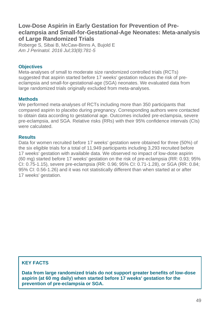### **Low-Dose Aspirin in Early Gestation for Prevention of Preeclampsia and Small-for-Gestational-Age Neonates: Meta-analysis of Large Randomized Trials**

[Roberge S,](https://www.ncbi.nlm.nih.gov/pubmed/?term=Roberge%20S%5BAuthor%5D&cauthor=true&cauthor_uid=26906184) [Sibai B,](https://www.ncbi.nlm.nih.gov/pubmed/?term=Sibai%20B%5BAuthor%5D&cauthor=true&cauthor_uid=26906184) [McCaw-Binns A,](https://www.ncbi.nlm.nih.gov/pubmed/?term=McCaw-Binns%20A%5BAuthor%5D&cauthor=true&cauthor_uid=26906184) [Bujold E](https://www.ncbi.nlm.nih.gov/pubmed/?term=Bujold%20E%5BAuthor%5D&cauthor=true&cauthor_uid=26906184) *[Am J Perinatol.](https://www.ncbi.nlm.nih.gov/pubmed/26906184) 2016 Jul;33(8):781-5*

#### **Objectives**

Meta-analyses of small to moderate size randomized controlled trials (RCTs) suggested that aspirin started before 17 weeks' gestation reduces the risk of preeclampsia and small-for-gestational-age (SGA) neonates. We evaluated data from large randomized trials originally excluded from meta-analyses.

#### **Methods**

We performed meta-analyses of RCTs including more than 350 participants that compared aspirin to placebo during pregnancy. Corresponding authors were contacted to obtain data according to gestational age. Outcomes included pre-eclampsia, severe pre-eclampsia, and SGA. Relative risks (RRs) with their 95% confidence intervals (CIs) were calculated.

#### **Results**

Data for women recruited before 17 weeks' gestation were obtained for three (50%) of the six eligible trials for a total of 11,949 participants including 3,293 recruited before 17 weeks' gestation with available data. We observed no impact of low-dose aspirin (60 mg) started before 17 weeks' gestation on the risk of pre-eclampsia (RR: 0.93; 95% CI: 0.75-1.15), severe pre-eclampsia (RR: 0.96; 95% CI: 0.71-1.28), or SGA (RR: 0.84; 95% CI: 0.56-1.26) and it was not statistically different than when started at or after 17 weeks' gestation.

#### **KEY FACTS**

**Data from large randomized trials do not support greater benefits of low-dose aspirin (at 60 mg daily) when started before 17 weeks' gestation for the prevention of pre-eclampsia or SGA.**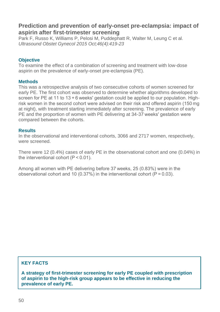### **Prediction and prevention of early-onset pre-eclampsia: impact of aspirin after first-trimester screening**

[Park F,](https://www.ncbi.nlm.nih.gov/pubmed/?term=Park%20F%5BAuthor%5D&cauthor=true&cauthor_uid=25678383) [Russo K,](https://www.ncbi.nlm.nih.gov/pubmed/?term=Russo%20K%5BAuthor%5D&cauthor=true&cauthor_uid=25678383) [Williams P,](https://www.ncbi.nlm.nih.gov/pubmed/?term=Williams%20P%5BAuthor%5D&cauthor=true&cauthor_uid=25678383) [Pelosi M,](https://www.ncbi.nlm.nih.gov/pubmed/?term=Pelosi%20M%5BAuthor%5D&cauthor=true&cauthor_uid=25678383) [Puddephatt R,](https://www.ncbi.nlm.nih.gov/pubmed/?term=Puddephatt%20R%5BAuthor%5D&cauthor=true&cauthor_uid=25678383) [Walter M,](https://www.ncbi.nlm.nih.gov/pubmed/?term=Walter%20M%5BAuthor%5D&cauthor=true&cauthor_uid=25678383) [Leung C](https://www.ncbi.nlm.nih.gov/pubmed/?term=Leung%20C%5BAuthor%5D&cauthor=true&cauthor_uid=25678383) et al. *[Ultrasound Obstet Gynecol](https://www.ncbi.nlm.nih.gov/pubmed/25678383) 2015 Oct;46(4):419-23*

#### **Objective**

To examine the effect of a combination of screening and treatment with low-dose aspirin on the prevalence of early-onset pre-eclampsia (PE).

#### **Methods**

This was a retrospective analysis of two consecutive cohorts of women screened for early PE. The first cohort was observed to determine whether algorithms developed to screen for PE at 11 to 13 + 6 weeks' gestation could be applied to our population. Highrisk women in the second cohort were advised on their risk and offered aspirin (150 mg at night), with treatment starting immediately after screening. The prevalence of early PE and the proportion of women with PE delivering at 34-37 weeks' gestation were compared between the cohorts.

#### **Results**

In the observational and interventional cohorts, 3066 and 2717 women, respectively, were screened.

There were 12 (0.4%) cases of early PE in the observational cohort and one (0.04%) in the interventional cohort (P < 0.01).

Among all women with PE delivering before 37 weeks, 25 (0.83%) were in the observational cohort and 10 (0.37%) in the interventional cohort ( $P = 0.03$ ).

### **KEY FACTS**

**A strategy of first-trimester screening for early PE coupled with prescription of aspirin to the high-risk group appears to be effective in reducing the prevalence of early PE.**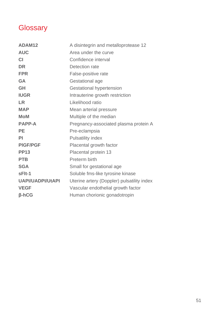## **Glossary**

| ADAM12                  | A disintegrin and metalloprotease 12       |
|-------------------------|--------------------------------------------|
| <b>AUC</b>              | Area under the curve                       |
| <b>CI</b>               | Confidence interval                        |
| <b>DR</b>               | Detection rate                             |
| <b>FPR</b>              | False-positive rate                        |
| <b>GA</b>               | Gestational age                            |
| GH                      | Gestational hypertension                   |
| <b>IUGR</b>             | Intrauterine growth restriction            |
| <b>LR</b>               | Likelihood ratio                           |
| <b>MAP</b>              | Mean arterial pressure                     |
| <b>MoM</b>              | Multiple of the median                     |
| <b>PAPP-A</b>           | Pregnancy-associated plasma protein A      |
| <b>PE</b>               | Pre-eclampsia                              |
| PI                      | Pulsatility index                          |
| <b>PIGF/PGF</b>         | Placental growth factor                    |
| <b>PP13</b>             | Placental protein 13                       |
| <b>PTB</b>              | Preterm birth                              |
| <b>SGA</b>              | Small for gestational age                  |
| sFlt-1                  | Soluble fms-like tyrosine kinase           |
| <b>UAPI/UADPI/UtAPI</b> | Uterine artery (Doppler) pulsatility index |
| <b>VEGF</b>             | Vascular endothelial growth factor         |
| <b>ß-hCG</b>            | Human chorionic gonadotropin               |